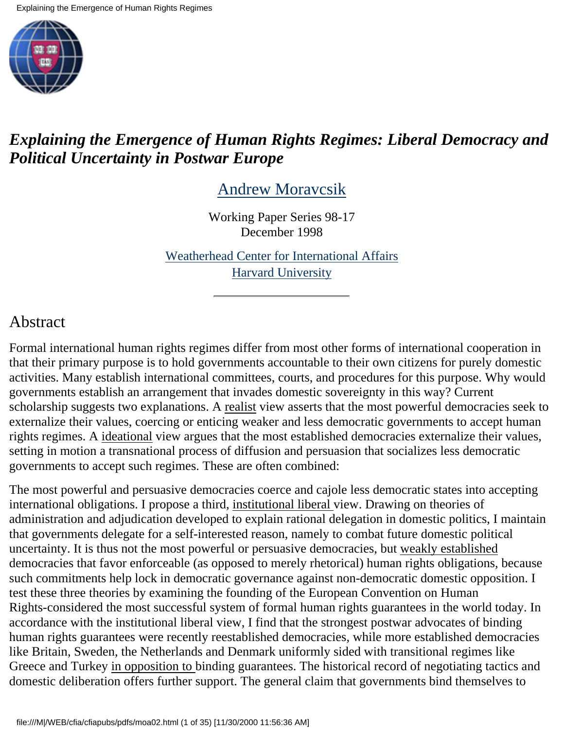

## *Explaining the Emergence of Human Rights Regimes: Liberal Democracy and Political Uncertainty in Postwar Europe*

[Andrew Moravcsik](https://wwwc.cc.columbia.edu/sec/dlc/ciao/contrib.html#moa)

Working Paper Series 98-17 December 1998

[Weatherhead Center for International Affairs](http://data.fas.harvard.edu/cfia/cfiapubs/wplist.htm) [Harvard University](https://wwwc.cc.columbia.edu/sec/dlc/ciao/wps/sites/cfia.html)

## Abstract

Formal international human rights regimes differ from most other forms of international cooperation in that their primary purpose is to hold governments accountable to their own citizens for purely domestic activities. Many establish international committees, courts, and procedures for this purpose. Why would governments establish an arrangement that invades domestic sovereignty in this way? Current scholarship suggests two explanations. A realist view asserts that the most powerful democracies seek to externalize their values, coercing or enticing weaker and less democratic governments to accept human rights regimes. A ideational view argues that the most established democracies externalize their values, setting in motion a transnational process of diffusion and persuasion that socializes less democratic governments to accept such regimes. These are often combined:

The most powerful and persuasive democracies coerce and cajole less democratic states into accepting international obligations. I propose a third, institutional liberal view. Drawing on theories of administration and adjudication developed to explain rational delegation in domestic politics, I maintain that governments delegate for a self-interested reason, namely to combat future domestic political uncertainty. It is thus not the most powerful or persuasive democracies, but weakly established democracies that favor enforceable (as opposed to merely rhetorical) human rights obligations, because such commitments help lock in democratic governance against non-democratic domestic opposition. I test these three theories by examining the founding of the European Convention on Human Rights-considered the most successful system of formal human rights guarantees in the world today. In accordance with the institutional liberal view, I find that the strongest postwar advocates of binding human rights guarantees were recently reestablished democracies, while more established democracies like Britain, Sweden, the Netherlands and Denmark uniformly sided with transitional regimes like Greece and Turkey in opposition to binding guarantees. The historical record of negotiating tactics and domestic deliberation offers further support. The general claim that governments bind themselves to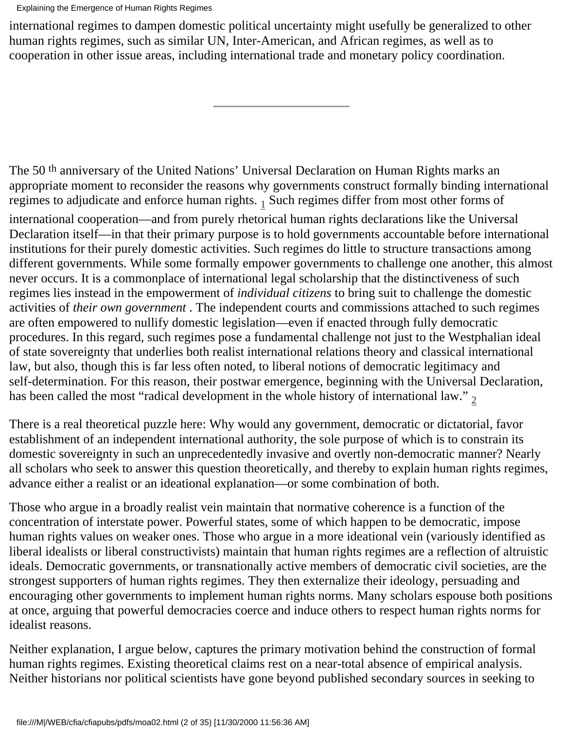Explaining the Emergence of Human Rights Regimes

international regimes to dampen domestic political uncertainty might usefully be generalized to other human rights regimes, such as similar UN, Inter-American, and African regimes, as well as to cooperation in other issue areas, including international trade and monetary policy coordination.

The 50<sup>th</sup> anniversary of the United Nations' Universal Declaration on Human Rights marks an appropriate moment to reconsider the reasons why governments construct formally binding international regimes to adjudicate and enforce human rights.  $_1$  Such regimes differ from most other forms of

<span id="page-1-0"></span>international cooperation—and from purely rhetorical human rights declarations like the Universal Declaration itself—in that their primary purpose is to hold governments accountable before international institutions for their purely domestic activities. Such regimes do little to structure transactions among different governments. While some formally empower governments to challenge one another, this almost never occurs. It is a commonplace of international legal scholarship that the distinctiveness of such regimes lies instead in the empowerment of *individual citizens* to bring suit to challenge the domestic activities of *their own government* . The independent courts and commissions attached to such regimes are often empowered to nullify domestic legislation—even if enacted through fully democratic procedures. In this regard, such regimes pose a fundamental challenge not just to the Westphalian ideal of state sovereignty that underlies both realist international relations theory and classical international law, but also, though this is far less often noted, to liberal notions of democratic legitimacy and self-determination. For this reason, their postwar emergence, beginning with the Universal Declaration, has been called the most "radical development in the whole history of international law."  $_2$  $_2$ 

<span id="page-1-1"></span>There is a real theoretical puzzle here: Why would any government, democratic or dictatorial, favor establishment of an independent international authority, the sole purpose of which is to constrain its domestic sovereignty in such an unprecedentedly invasive and overtly non-democratic manner? Nearly all scholars who seek to answer this question theoretically, and thereby to explain human rights regimes, advance either a realist or an ideational explanation—or some combination of both.

Those who argue in a broadly realist vein maintain that normative coherence is a function of the concentration of interstate power. Powerful states, some of which happen to be democratic, impose human rights values on weaker ones. Those who argue in a more ideational vein (variously identified as liberal idealists or liberal constructivists) maintain that human rights regimes are a reflection of altruistic ideals. Democratic governments, or transnationally active members of democratic civil societies, are the strongest supporters of human rights regimes. They then externalize their ideology, persuading and encouraging other governments to implement human rights norms. Many scholars espouse both positions at once, arguing that powerful democracies coerce and induce others to respect human rights norms for idealist reasons.

Neither explanation, I argue below, captures the primary motivation behind the construction of formal human rights regimes. Existing theoretical claims rest on a near-total absence of empirical analysis. Neither historians nor political scientists have gone beyond published secondary sources in seeking to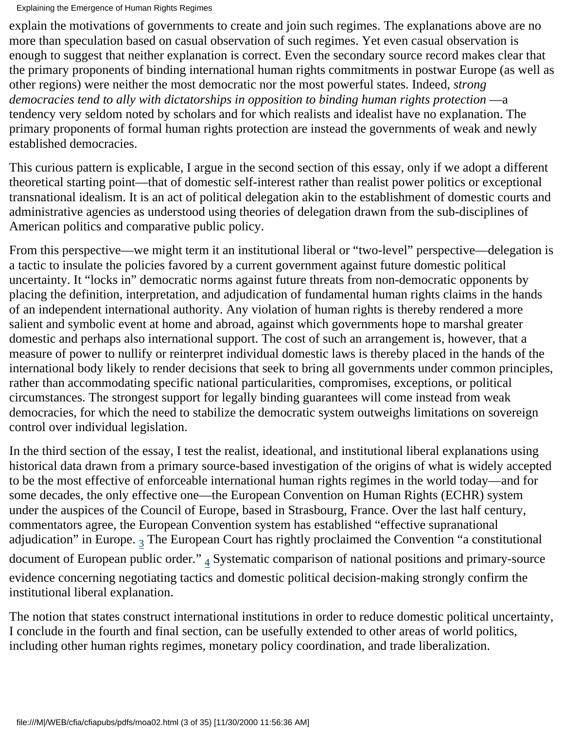explain the motivations of governments to create and join such regimes. The explanations above are no more than speculation based on casual observation of such regimes. Yet even casual observation is enough to suggest that neither explanation is correct. Even the secondary source record makes clear that the primary proponents of binding international human rights commitments in postwar Europe (as well as other regions) were neither the most democratic nor the most powerful states. Indeed, *strong democracies tend to ally with dictatorships in opposition to binding human rights protection* —a tendency very seldom noted by scholars and for which realists and idealist have no explanation. The primary proponents of formal human rights protection are instead the governments of weak and newly established democracies.

This curious pattern is explicable, I argue in the second section of this essay, only if we adopt a different theoretical starting point—that of domestic self-interest rather than realist power politics or exceptional transnational idealism. It is an act of political delegation akin to the establishment of domestic courts and administrative agencies as understood using theories of delegation drawn from the sub-disciplines of American politics and comparative public policy.

From this perspective—we might term it an institutional liberal or "two-level" perspective—delegation is a tactic to insulate the policies favored by a current government against future domestic political uncertainty. It "locks in" democratic norms against future threats from non-democratic opponents by placing the definition, interpretation, and adjudication of fundamental human rights claims in the hands of an independent international authority. Any violation of human rights is thereby rendered a more salient and symbolic event at home and abroad, against which governments hope to marshal greater domestic and perhaps also international support. The cost of such an arrangement is, however, that a measure of power to nullify or reinterpret individual domestic laws is thereby placed in the hands of the international body likely to render decisions that seek to bring all governments under common principles, rather than accommodating specific national particularities, compromises, exceptions, or political circumstances. The strongest support for legally binding guarantees will come instead from weak democracies, for which the need to stabilize the democratic system outweighs limitations on sovereign control over individual legislation.

In the third section of the essay, I test the realist, ideational, and institutional liberal explanations using historical data drawn from a primary source-based investigation of the origins of what is widely accepted to be the most effective of enforceable international human rights regimes in the world today—and for some decades, the only effective one—the European Convention on Human Rights (ECHR) system under the auspices of the Council of Europe, based in Strasbourg, France. Over the last half century, commentators agree, the European Convention system has established "effective supranational adjudication" in Europe.  $_3$  $_3$  The European Court has rightly proclaimed the Convention "a constitutional document of European public order."  $_4$  Systematic comparison of national positions and primary-source evidence concerning negotiating tactics and domestic political decision-making strongly confirm the institutional liberal explanation.

<span id="page-2-1"></span><span id="page-2-0"></span>The notion that states construct international institutions in order to reduce domestic political uncertainty, I conclude in the fourth and final section, can be usefully extended to other areas of world politics, including other human rights regimes, monetary policy coordination, and trade liberalization.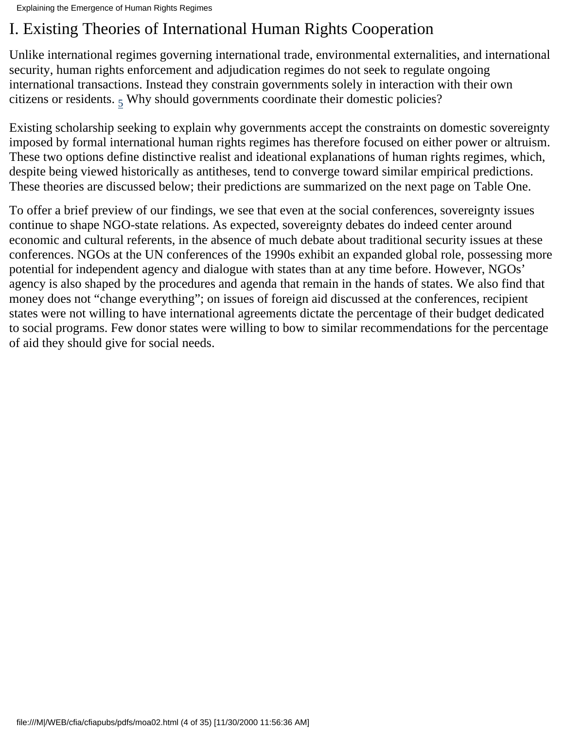# I. Existing Theories of International Human Rights Cooperation

Unlike international regimes governing international trade, environmental externalities, and international security, human rights enforcement and adjudication regimes do not seek to regulate ongoing international transactions. Instead they constrain governments solely in interaction with their own citizens or residents.  $5$  Why should governments coordinate their domestic policies?

<span id="page-3-0"></span>Existing scholarship seeking to explain why governments accept the constraints on domestic sovereignty imposed by formal international human rights regimes has therefore focused on either power or altruism. These two options define distinctive realist and ideational explanations of human rights regimes, which, despite being viewed historically as antitheses, tend to converge toward similar empirical predictions. These theories are discussed below; their predictions are summarized on the next page on Table One.

To offer a brief preview of our findings, we see that even at the social conferences, sovereignty issues continue to shape NGO-state relations. As expected, sovereignty debates do indeed center around economic and cultural referents, in the absence of much debate about traditional security issues at these conferences. NGOs at the UN conferences of the 1990s exhibit an expanded global role, possessing more potential for independent agency and dialogue with states than at any time before. However, NGOs' agency is also shaped by the procedures and agenda that remain in the hands of states. We also find that money does not "change everything"; on issues of foreign aid discussed at the conferences, recipient states were not willing to have international agreements dictate the percentage of their budget dedicated to social programs. Few donor states were willing to bow to similar recommendations for the percentage of aid they should give for social needs.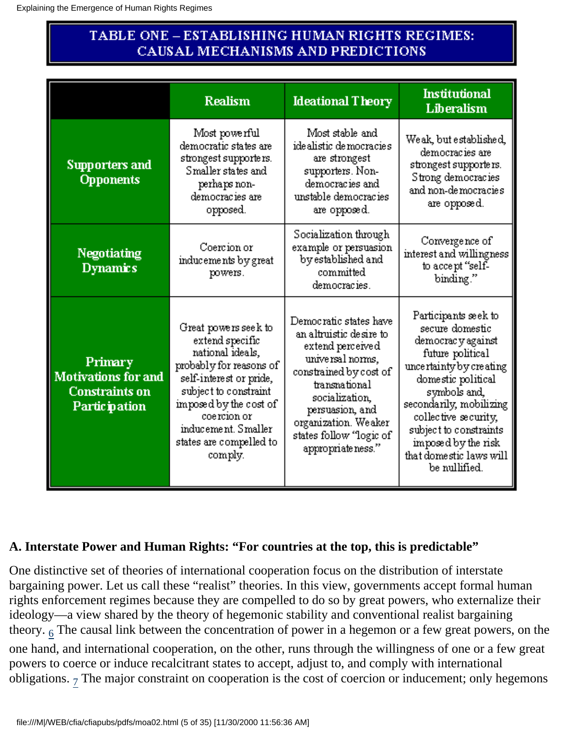## TABLE ONE – ESTABLISHING HUMAN RIGHTS REGIMES: CAUSAL MECHANISMS AND PREDICTIONS

|                                                                                        | <b>Realism</b>                                                                                                                                                                                                                                    | <b>Ideational Theory</b>                                                                                                                                                                                                                           | <b>Institutional</b><br>Liberalism                                                                                                                                                                                                                                                                 |
|----------------------------------------------------------------------------------------|---------------------------------------------------------------------------------------------------------------------------------------------------------------------------------------------------------------------------------------------------|----------------------------------------------------------------------------------------------------------------------------------------------------------------------------------------------------------------------------------------------------|----------------------------------------------------------------------------------------------------------------------------------------------------------------------------------------------------------------------------------------------------------------------------------------------------|
| Supporters and<br><b>Opponents</b>                                                     | Most powerful<br>democratic states are<br>strongest supporters.<br>Smaller states and<br>perhaps non-<br>democracies are<br>opposed.                                                                                                              | Most stable and<br>idealistic de mocracies<br>are strongest<br>supporters. Non-<br>democracies and<br>unstable democracies<br>are opposed.                                                                                                         | Weak, but established,<br>democracies are<br>strongest supporters.<br>Strong democracies<br>and non-democracies<br>are opposed.                                                                                                                                                                    |
| <b>Negotiating</b><br><b>Dynamics</b>                                                  | Coercion or<br>inducements by great<br>powers.                                                                                                                                                                                                    | Socialization through<br>example or persuasion<br>by established and<br>committed<br>democracies.                                                                                                                                                  | Convergence of<br>interest and willingness<br>to accept "self-<br>binding."                                                                                                                                                                                                                        |
| Primary<br><b>Motivations for and</b><br><b>Constraints on</b><br><b>Partic pation</b> | Great powers see k to<br>extend specific<br>national ideals,<br>probably for reasons of<br>self-interest or pride,<br>subject to constraint<br>imposed by the cost of<br>coercion or<br>inducement. Smaller<br>states are compelled to<br>comply. | Democratic states have<br>an altruistic desire to<br>extend perceived<br>universal norms,<br>constrained by cost of<br>transnational<br>socialization,<br>persuasion, and<br>organization. Weaker<br>states follow "logic of<br>appropriate ness." | Participants seek to<br>secure domestic<br>democrac y against<br>future political<br>uncertainty by creating<br>domestic political<br>symbols and,<br>secondarily, mobilizing<br>collective security,<br>subject to constraints<br>imposed by the risk<br>that domestic laws will<br>be nullified. |

### **A. Interstate Power and Human Rights: "For countries at the top, this is predictable"**

<span id="page-4-1"></span><span id="page-4-0"></span>One distinctive set of theories of international cooperation focus on the distribution of interstate bargaining power. Let us call these "realist" theories. In this view, governments accept formal human rights enforcement regimes because they are compelled to do so by great powers, who externalize their ideology—a view shared by the theory of hegemonic stability and conventional realist bargaining theory.  $6$  The causal link between the concentration of power in a hegemon or a few great powers, on the one hand, and international cooperation, on the other, runs through the willingness of one or a few great powers to coerce or induce recalcitrant states to accept, adjust to, and comply with international obligations.  $7$  The major constraint on cooperation is the cost of coercion or inducement; only hegemons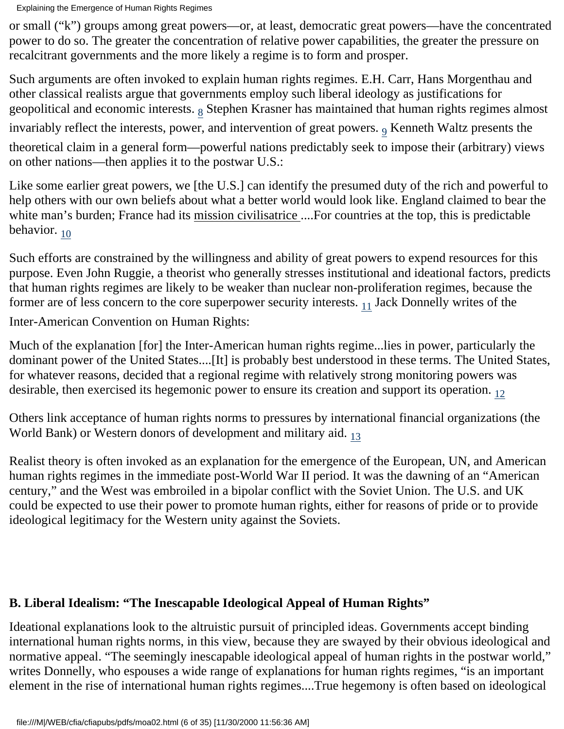or small ("k") groups among great powers—or, at least, democratic great powers—have the concentrated power to do so. The greater the concentration of relative power capabilities, the greater the pressure on recalcitrant governments and the more likely a regime is to form and prosper.

<span id="page-5-1"></span><span id="page-5-0"></span>Such arguments are often invoked to explain human rights regimes. E.H. Carr, Hans Morgenthau and other classical realists argue that governments employ such liberal ideology as justifications for geopolitical and economic interests.  $8$  Stephen Krasner has maintained that human rights regimes almost invariably reflect the interests, power, and intervention of great powers.  $9$  Kenneth Waltz presents the theoretical claim in a general form—powerful nations predictably seek to impose their (arbitrary) views on other nations—then applies it to the postwar U.S.:

Like some earlier great powers, we [the U.S.] can identify the presumed duty of the rich and powerful to help others with our own beliefs about what a better world would look like. England claimed to bear the white man's burden; France had its mission civilisatrice .... For countries at the top, this is predictable behavior.  $10$ 

<span id="page-5-2"></span>Such efforts are constrained by the willingness and ability of great powers to expend resources for this purpose. Even John Ruggie, a theorist who generally stresses institutional and ideational factors, predicts that human rights regimes are likely to be weaker than nuclear non-proliferation regimes, because the former are of less concern to the core superpower security interests.  $_{11}$  Jack Donnelly writes of the

<span id="page-5-3"></span>Inter-American Convention on Human Rights:

Much of the explanation [for] the Inter-American human rights regime...lies in power, particularly the dominant power of the United States....[It] is probably best understood in these terms. The United States, for whatever reasons, decided that a regional regime with relatively strong monitoring powers was desirable, then exercised its hegemonic power to ensure its creation and support its operation.  $_{12}$ 

<span id="page-5-5"></span><span id="page-5-4"></span>Others link acceptance of human rights norms to pressures by international financial organizations (the World Bank) or Western donors of development and military aid. [13](#page-27-9)

Realist theory is often invoked as an explanation for the emergence of the European, UN, and American human rights regimes in the immediate post-World War II period. It was the dawning of an "American century," and the West was embroiled in a bipolar conflict with the Soviet Union. The U.S. and UK could be expected to use their power to promote human rights, either for reasons of pride or to provide ideological legitimacy for the Western unity against the Soviets.

#### **B. Liberal Idealism: "The Inescapable Ideological Appeal of Human Rights"**

Ideational explanations look to the altruistic pursuit of principled ideas. Governments accept binding international human rights norms, in this view, because they are swayed by their obvious ideological and normative appeal. "The seemingly inescapable ideological appeal of human rights in the postwar world," writes Donnelly, who espouses a wide range of explanations for human rights regimes, "is an important element in the rise of international human rights regimes....True hegemony is often based on ideological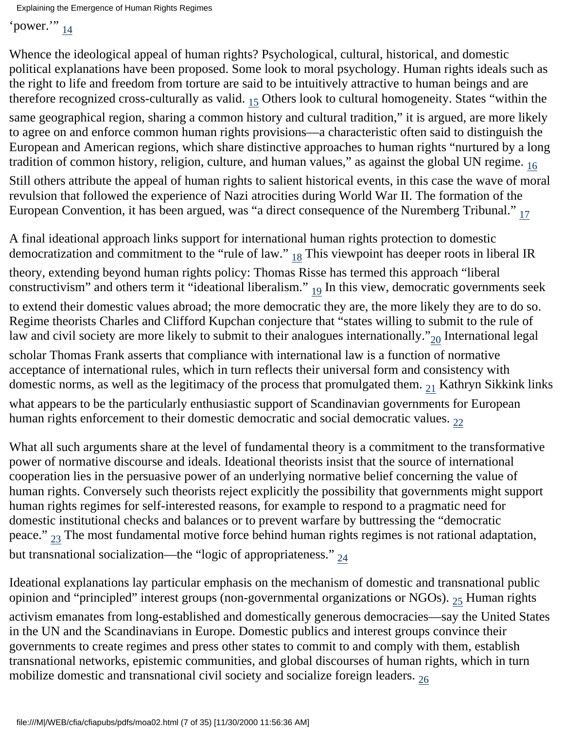<span id="page-6-0"></span>'power." [14](#page-27-10)

<span id="page-6-1"></span>Whence the ideological appeal of human rights? Psychological, cultural, historical, and domestic political explanations have been proposed. Some look to moral psychology. Human rights ideals such as the right to life and freedom from torture are said to be intuitively attractive to human beings and are therefore recognized cross-culturally as valid.  $_{15}$  Others look to cultural homogeneity. States "within the same geographical region, sharing a common history and cultural tradition," it is argued, are more likely to agree on and enforce common human rights provisions—a characteristic often said to distinguish the European and American regions, which share distinctive approaches to human rights "nurtured by a long tradition of common history, religion, culture, and human values," as against the global UN regime. [16](#page-27-12)

<span id="page-6-2"></span>Still others attribute the appeal of human rights to salient historical events, in this case the wave of moral revulsion that followed the experience of Nazi atrocities during World War II. The formation of the European Convention, it has been argued, was "a direct consequence of the Nuremberg Tribunal."  $_{17}$ 

<span id="page-6-5"></span><span id="page-6-4"></span><span id="page-6-3"></span>A final ideational approach links support for international human rights protection to domestic democratization and commitment to the "rule of law."  $_{18}$  This viewpoint has deeper roots in liberal IR theory, extending beyond human rights policy: Thomas Risse has termed this approach "liberal constructivism" and others term it "ideational liberalism."  $_{19}$  In this view, democratic governments seek to extend their domestic values abroad; the more democratic they are, the more likely they are to do so. Regime theorists Charles and Clifford Kupchan conjecture that "states willing to submit to the rule of law and civil society are more likely to submit to their analogues internationally." $_{20}$  International legal scholar Thomas Frank asserts that compliance with international law is a function of normative acceptance of international rules, which in turn reflects their universal form and consistency with domestic norms, as well as the legitimacy of the process that promulgated them.  $_{21}$  Kathryn Sikkink links

<span id="page-6-8"></span><span id="page-6-7"></span><span id="page-6-6"></span>what appears to be the particularly enthusiastic support of Scandinavian governments for European human rights enforcement to their domestic democratic and social democratic values.  $_{22}$ 

What all such arguments share at the level of fundamental theory is a commitment to the transformative power of normative discourse and ideals. Ideational theorists insist that the source of international cooperation lies in the persuasive power of an underlying normative belief concerning the value of human rights. Conversely such theorists reject explicitly the possibility that governments might support human rights regimes for self-interested reasons, for example to respond to a pragmatic need for domestic institutional checks and balances or to prevent warfare by buttressing the "democratic peace."  $_{23}$  The most fundamental motive force behind human rights regimes is not rational adaptation, but transnational socialization—the "logic of appropriateness."  $_{24}$  $_{24}$  $_{24}$ 

<span id="page-6-12"></span><span id="page-6-11"></span><span id="page-6-10"></span><span id="page-6-9"></span>Ideational explanations lay particular emphasis on the mechanism of domestic and transnational public opinion and "principled" interest groups (non-governmental organizations or NGOs). <sub>25</sub> Human rights activism emanates from long-established and domestically generous democracies—say the United States in the UN and the Scandinavians in Europe. Domestic publics and interest groups convince their governments to create regimes and press other states to commit to and comply with them, establish transnational networks, epistemic communities, and global discourses of human rights, which in turn mobilize domestic and transnational civil society and socialize foreign leaders. [26](#page-28-6)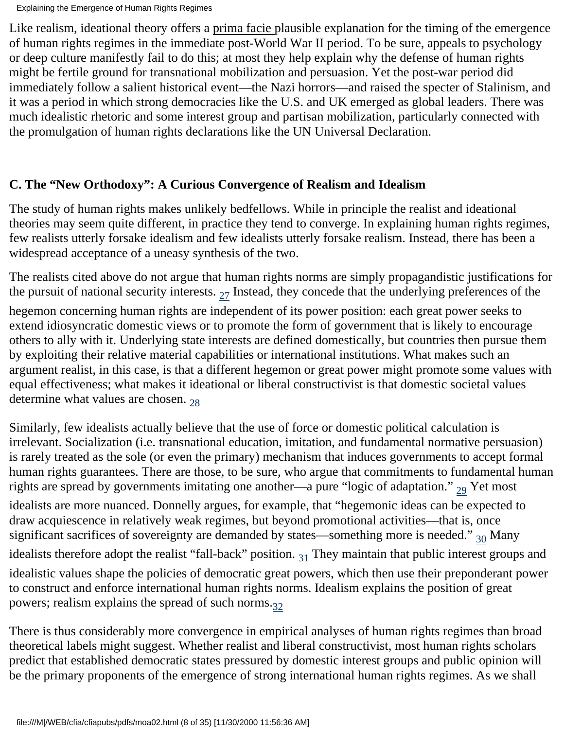Like realism, ideational theory offers a prima facie plausible explanation for the timing of the emergence of human rights regimes in the immediate post-World War II period. To be sure, appeals to psychology or deep culture manifestly fail to do this; at most they help explain why the defense of human rights might be fertile ground for transnational mobilization and persuasion. Yet the post-war period did immediately follow a salient historical event—the Nazi horrors—and raised the specter of Stalinism, and it was a period in which strong democracies like the U.S. and UK emerged as global leaders. There was much idealistic rhetoric and some interest group and partisan mobilization, particularly connected with the promulgation of human rights declarations like the UN Universal Declaration.

## **C. The "New Orthodoxy": A Curious Convergence of Realism and Idealism**

The study of human rights makes unlikely bedfellows. While in principle the realist and ideational theories may seem quite different, in practice they tend to converge. In explaining human rights regimes, few realists utterly forsake idealism and few idealists utterly forsake realism. Instead, there has been a widespread acceptance of a uneasy synthesis of the two.

The realists cited above do not argue that human rights norms are simply propagandistic justifications for the pursuit of national security interests.  $_{27}$  Instead, they concede that the underlying preferences of the

<span id="page-7-0"></span>hegemon concerning human rights are independent of its power position: each great power seeks to extend idiosyncratic domestic views or to promote the form of government that is likely to encourage others to ally with it. Underlying state interests are defined domestically, but countries then pursue them by exploiting their relative material capabilities or international institutions. What makes such an argument realist, in this case, is that a different hegemon or great power might promote some values with equal effectiveness; what makes it ideational or liberal constructivist is that domestic societal values determine what values are chosen.  $_{28}$  $_{28}$  $_{28}$ 

<span id="page-7-2"></span><span id="page-7-1"></span>Similarly, few idealists actually believe that the use of force or domestic political calculation is irrelevant. Socialization (i.e. transnational education, imitation, and fundamental normative persuasion) is rarely treated as the sole (or even the primary) mechanism that induces governments to accept formal human rights guarantees. There are those, to be sure, who argue that commitments to fundamental human rights are spread by governments imitating one another—a pure "logic of adaptation."  $_{29}$  Yet most idealists are more nuanced. Donnelly argues, for example, that "hegemonic ideas can be expected to draw acquiescence in relatively weak regimes, but beyond promotional activities—that is, once significant sacrifices of sovereignty are demanded by states—something more is needed."  $_{30}$  Many idealists therefore adopt the realist "fall-back" position.  $_{31}$  They maintain that public interest groups and idealistic values shape the policies of democratic great powers, which then use their preponderant power to construct and enforce international human rights norms. Idealism explains the position of great powers; realism explains the spread of such norms. $32$ 

<span id="page-7-5"></span><span id="page-7-4"></span><span id="page-7-3"></span>There is thus considerably more convergence in empirical analyses of human rights regimes than broad theoretical labels might suggest. Whether realist and liberal constructivist, most human rights scholars predict that established democratic states pressured by domestic interest groups and public opinion will be the primary proponents of the emergence of strong international human rights regimes. As we shall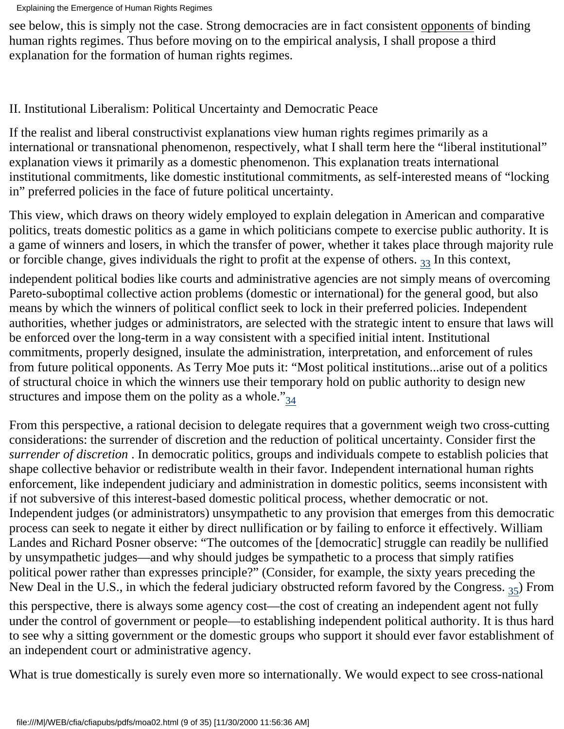see below, this is simply not the case. Strong democracies are in fact consistent opponents of binding human rights regimes. Thus before moving on to the empirical analysis, I shall propose a third explanation for the formation of human rights regimes.

## II. Institutional Liberalism: Political Uncertainty and Democratic Peace

If the realist and liberal constructivist explanations view human rights regimes primarily as a international or transnational phenomenon, respectively, what I shall term here the "liberal institutional" explanation views it primarily as a domestic phenomenon. This explanation treats international institutional commitments, like domestic institutional commitments, as self-interested means of "locking in" preferred policies in the face of future political uncertainty.

This view, which draws on theory widely employed to explain delegation in American and comparative politics, treats domestic politics as a game in which politicians compete to exercise public authority. It is a game of winners and losers, in which the transfer of power, whether it takes place through majority rule or forcible change, gives individuals the right to profit at the expense of others.  $_{33}$  In this context,

<span id="page-8-0"></span>independent political bodies like courts and administrative agencies are not simply means of overcoming Pareto-suboptimal collective action problems (domestic or international) for the general good, but also means by which the winners of political conflict seek to lock in their preferred policies. Independent authorities, whether judges or administrators, are selected with the strategic intent to ensure that laws will be enforced over the long-term in a way consistent with a specified initial intent. Institutional commitments, properly designed, insulate the administration, interpretation, and enforcement of rules from future political opponents. As Terry Moe puts it: "Most political institutions...arise out of a politics of structural choice in which the winners use their temporary hold on public authority to design new structures and impose them on the polity as a whole." $_{34}$ 

<span id="page-8-1"></span>From this perspective, a rational decision to delegate requires that a government weigh two cross-cutting considerations: the surrender of discretion and the reduction of political uncertainty. Consider first the *surrender of discretion* . In democratic politics, groups and individuals compete to establish policies that shape collective behavior or redistribute wealth in their favor. Independent international human rights enforcement, like independent judiciary and administration in domestic politics, seems inconsistent with if not subversive of this interest-based domestic political process, whether democratic or not. Independent judges (or administrators) unsympathetic to any provision that emerges from this democratic process can seek to negate it either by direct nullification or by failing to enforce it effectively. William Landes and Richard Posner observe: "The outcomes of the [democratic] struggle can readily be nullified by unsympathetic judges—and why should judges be sympathetic to a process that simply ratifies political power rather than expresses principle?" (Consider, for example, the sixty years preceding the New Deal in the U.S., in which the federal judiciary obstructed reform favored by the Congress.  $_{35}$  $_{35}$  $_{35}$ ) From this perspective, there is always some agency cost—the cost of creating an independent agent not fully under the control of government or people—to establishing independent political authority. It is thus hard to see why a sitting government or the domestic groups who support it should ever favor establishment of an independent court or administrative agency.

<span id="page-8-2"></span>What is true domestically is surely even more so internationally. We would expect to see cross-national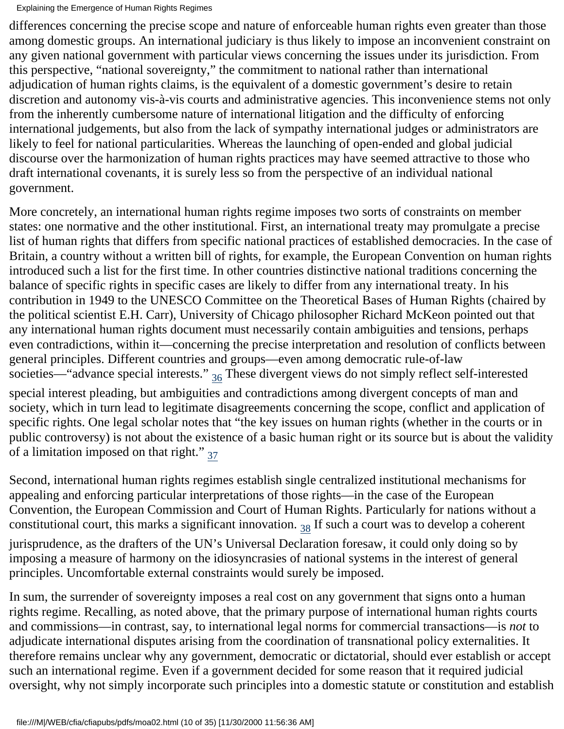differences concerning the precise scope and nature of enforceable human rights even greater than those among domestic groups. An international judiciary is thus likely to impose an inconvenient constraint on any given national government with particular views concerning the issues under its jurisdiction. From this perspective, "national sovereignty," the commitment to national rather than international adjudication of human rights claims, is the equivalent of a domestic government's desire to retain discretion and autonomy vis-à-vis courts and administrative agencies. This inconvenience stems not only from the inherently cumbersome nature of international litigation and the difficulty of enforcing international judgements, but also from the lack of sympathy international judges or administrators are likely to feel for national particularities. Whereas the launching of open-ended and global judicial discourse over the harmonization of human rights practices may have seemed attractive to those who draft international covenants, it is surely less so from the perspective of an individual national government.

More concretely, an international human rights regime imposes two sorts of constraints on member states: one normative and the other institutional. First, an international treaty may promulgate a precise list of human rights that differs from specific national practices of established democracies. In the case of Britain, a country without a written bill of rights, for example, the European Convention on human rights introduced such a list for the first time. In other countries distinctive national traditions concerning the balance of specific rights in specific cases are likely to differ from any international treaty. In his contribution in 1949 to the UNESCO Committee on the Theoretical Bases of Human Rights (chaired by the political scientist E.H. Carr), University of Chicago philosopher Richard McKeon pointed out that any international human rights document must necessarily contain ambiguities and tensions, perhaps even contradictions, within it—concerning the precise interpretation and resolution of conflicts between general principles. Different countries and groups—even among democratic rule-of-law societies—"advance special interests."  $_{36}$  These divergent views do not simply reflect self-interested special interest pleading, but ambiguities and contradictions among divergent concepts of man and society, which in turn lead to legitimate disagreements concerning the scope, conflict and application of specific rights. One legal scholar notes that "the key issues on human rights (whether in the courts or in public controversy) is not about the existence of a basic human right or its source but is about the validity of a limitation imposed on that right." $_{37}$ 

<span id="page-9-2"></span><span id="page-9-1"></span><span id="page-9-0"></span>Second, international human rights regimes establish single centralized institutional mechanisms for appealing and enforcing particular interpretations of those rights—in the case of the European Convention, the European Commission and Court of Human Rights. Particularly for nations without a constitutional court, this marks a significant innovation.  $_{38}$  If such a court was to develop a coherent jurisprudence, as the drafters of the UN's Universal Declaration foresaw, it could only doing so by imposing a measure of harmony on the idiosyncrasies of national systems in the interest of general principles. Uncomfortable external constraints would surely be imposed.

In sum, the surrender of sovereignty imposes a real cost on any government that signs onto a human rights regime. Recalling, as noted above, that the primary purpose of international human rights courts and commissions—in contrast, say, to international legal norms for commercial transactions—is *not* to adjudicate international disputes arising from the coordination of transnational policy externalities. It therefore remains unclear why any government, democratic or dictatorial, should ever establish or accept such an international regime. Even if a government decided for some reason that it required judicial oversight, why not simply incorporate such principles into a domestic statute or constitution and establish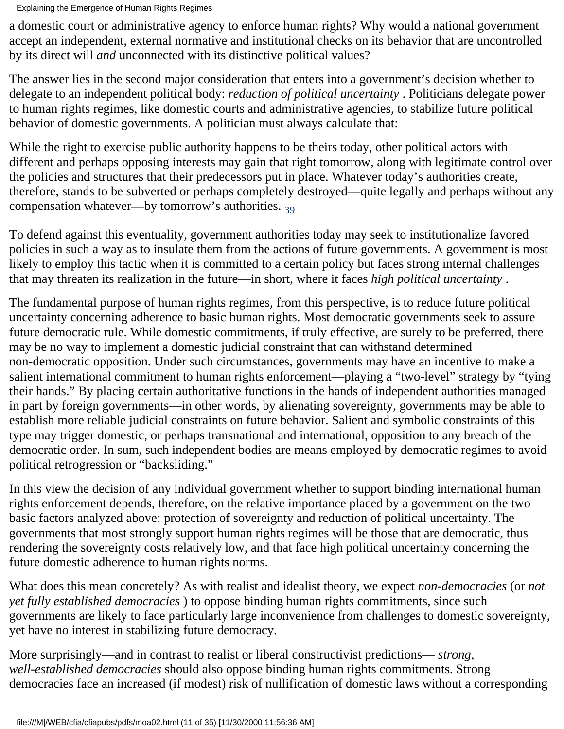Explaining the Emergence of Human Rights Regimes

a domestic court or administrative agency to enforce human rights? Why would a national government accept an independent, external normative and institutional checks on its behavior that are uncontrolled by its direct will *and* unconnected with its distinctive political values?

The answer lies in the second major consideration that enters into a government's decision whether to delegate to an independent political body: *reduction of political uncertainty* . Politicians delegate power to human rights regimes, like domestic courts and administrative agencies, to stabilize future political behavior of domestic governments. A politician must always calculate that:

While the right to exercise public authority happens to be theirs today, other political actors with different and perhaps opposing interests may gain that right tomorrow, along with legitimate control over the policies and structures that their predecessors put in place. Whatever today's authorities create, therefore, stands to be subverted or perhaps completely destroyed—quite legally and perhaps without any compensation whatever—by tomorrow's authorities.  $_{39}$ 

<span id="page-10-0"></span>To defend against this eventuality, government authorities today may seek to institutionalize favored policies in such a way as to insulate them from the actions of future governments. A government is most likely to employ this tactic when it is committed to a certain policy but faces strong internal challenges that may threaten its realization in the future—in short, where it faces *high political uncertainty* .

The fundamental purpose of human rights regimes, from this perspective, is to reduce future political uncertainty concerning adherence to basic human rights. Most democratic governments seek to assure future democratic rule. While domestic commitments, if truly effective, are surely to be preferred, there may be no way to implement a domestic judicial constraint that can withstand determined non-democratic opposition. Under such circumstances, governments may have an incentive to make a salient international commitment to human rights enforcement—playing a "two-level" strategy by "tying their hands." By placing certain authoritative functions in the hands of independent authorities managed in part by foreign governments—in other words, by alienating sovereignty, governments may be able to establish more reliable judicial constraints on future behavior. Salient and symbolic constraints of this type may trigger domestic, or perhaps transnational and international, opposition to any breach of the democratic order. In sum, such independent bodies are means employed by democratic regimes to avoid political retrogression or "backsliding."

In this view the decision of any individual government whether to support binding international human rights enforcement depends, therefore, on the relative importance placed by a government on the two basic factors analyzed above: protection of sovereignty and reduction of political uncertainty. The governments that most strongly support human rights regimes will be those that are democratic, thus rendering the sovereignty costs relatively low, and that face high political uncertainty concerning the future domestic adherence to human rights norms.

What does this mean concretely? As with realist and idealist theory, we expect *non-democracies* (or *not yet fully established democracies* ) to oppose binding human rights commitments, since such governments are likely to face particularly large inconvenience from challenges to domestic sovereignty, yet have no interest in stabilizing future democracy.

More surprisingly—and in contrast to realist or liberal constructivist predictions— *strong, well-established democracies* should also oppose binding human rights commitments. Strong democracies face an increased (if modest) risk of nullification of domestic laws without a corresponding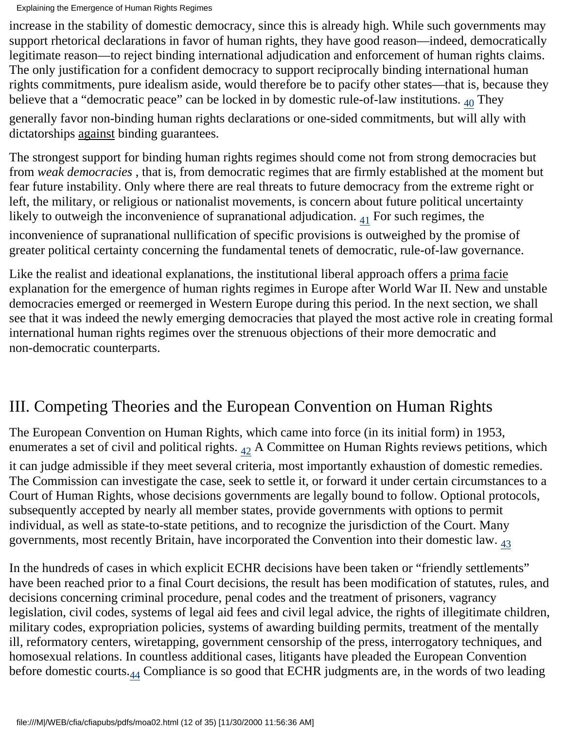increase in the stability of domestic democracy, since this is already high. While such governments may support rhetorical declarations in favor of human rights, they have good reason—indeed, democratically legitimate reason—to reject binding international adjudication and enforcement of human rights claims. The only justification for a confident democracy to support reciprocally binding international human rights commitments, pure idealism aside, would therefore be to pacify other states—that is, because they believe that a "democratic peace" can be locked in by domestic rule-of-law institutions.  $_{40}$  They

<span id="page-11-0"></span>generally favor non-binding human rights declarations or one-sided commitments, but will ally with dictatorships against binding guarantees.

The strongest support for binding human rights regimes should come not from strong democracies but from *weak democracies* , that is, from democratic regimes that are firmly established at the moment but fear future instability. Only where there are real threats to future democracy from the extreme right or left, the military, or religious or nationalist movements, is concern about future political uncertainty likely to outweigh the inconvenience of supranational adjudication.  $_{41}$  For such regimes, the

<span id="page-11-1"></span>inconvenience of supranational nullification of specific provisions is outweighed by the promise of greater political certainty concerning the fundamental tenets of democratic, rule-of-law governance.

Like the realist and ideational explanations, the institutional liberal approach offers a prima facie explanation for the emergence of human rights regimes in Europe after World War II. New and unstable democracies emerged or reemerged in Western Europe during this period. In the next section, we shall see that it was indeed the newly emerging democracies that played the most active role in creating formal international human rights regimes over the strenuous objections of their more democratic and non-democratic counterparts.

## III. Competing Theories and the European Convention on Human Rights

<span id="page-11-2"></span>The European Convention on Human Rights, which came into force (in its initial form) in 1953, enumerates a set of civil and political rights.  $_{42}$  A Committee on Human Rights reviews petitions, which it can judge admissible if they meet several criteria, most importantly exhaustion of domestic remedies. The Commission can investigate the case, seek to settle it, or forward it under certain circumstances to a Court of Human Rights, whose decisions governments are legally bound to follow. Optional protocols, subsequently accepted by nearly all member states, provide governments with options to permit individual, as well as state-to-state petitions, and to recognize the jurisdiction of the Court. Many governments, most recently Britain, have incorporated the Convention into their domestic law.  $_{43}$  $_{43}$  $_{43}$ 

<span id="page-11-4"></span><span id="page-11-3"></span>In the hundreds of cases in which explicit ECHR decisions have been taken or "friendly settlements" have been reached prior to a final Court decisions, the result has been modification of statutes, rules, and decisions concerning criminal procedure, penal codes and the treatment of prisoners, vagrancy legislation, civil codes, systems of legal aid fees and civil legal advice, the rights of illegitimate children, military codes, expropriation policies, systems of awarding building permits, treatment of the mentally ill, reformatory centers, wiretapping, government censorship of the press, interrogatory techniques, and homosexual relations. In countless additional cases, litigants have pleaded the European Convention before domestic courts.<sub>44</sub> Compliance is so good that ECHR judgments are, in the words of two leading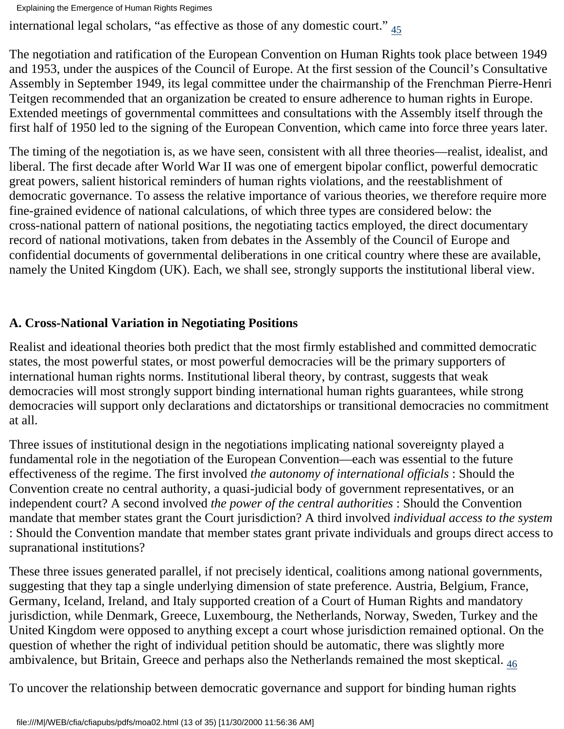<span id="page-12-0"></span>international legal scholars, "as effective as those of any domestic court." [45](#page-30-1)

The negotiation and ratification of the European Convention on Human Rights took place between 1949 and 1953, under the auspices of the Council of Europe. At the first session of the Council's Consultative Assembly in September 1949, its legal committee under the chairmanship of the Frenchman Pierre-Henri Teitgen recommended that an organization be created to ensure adherence to human rights in Europe. Extended meetings of governmental committees and consultations with the Assembly itself through the first half of 1950 led to the signing of the European Convention, which came into force three years later.

The timing of the negotiation is, as we have seen, consistent with all three theories—realist, idealist, and liberal. The first decade after World War II was one of emergent bipolar conflict, powerful democratic great powers, salient historical reminders of human rights violations, and the reestablishment of democratic governance. To assess the relative importance of various theories, we therefore require more fine-grained evidence of national calculations, of which three types are considered below: the cross-national pattern of national positions, the negotiating tactics employed, the direct documentary record of national motivations, taken from debates in the Assembly of the Council of Europe and confidential documents of governmental deliberations in one critical country where these are available, namely the United Kingdom (UK). Each, we shall see, strongly supports the institutional liberal view.

### **A. Cross-National Variation in Negotiating Positions**

Realist and ideational theories both predict that the most firmly established and committed democratic states, the most powerful states, or most powerful democracies will be the primary supporters of international human rights norms. Institutional liberal theory, by contrast, suggests that weak democracies will most strongly support binding international human rights guarantees, while strong democracies will support only declarations and dictatorships or transitional democracies no commitment at all.

Three issues of institutional design in the negotiations implicating national sovereignty played a fundamental role in the negotiation of the European Convention—each was essential to the future effectiveness of the regime. The first involved *the autonomy of international officials* : Should the Convention create no central authority, a quasi-judicial body of government representatives, or an independent court? A second involved *the power of the central authorities* : Should the Convention mandate that member states grant the Court jurisdiction? A third involved *individual access to the system* : Should the Convention mandate that member states grant private individuals and groups direct access to supranational institutions?

These three issues generated parallel, if not precisely identical, coalitions among national governments, suggesting that they tap a single underlying dimension of state preference. Austria, Belgium, France, Germany, Iceland, Ireland, and Italy supported creation of a Court of Human Rights and mandatory jurisdiction, while Denmark, Greece, Luxembourg, the Netherlands, Norway, Sweden, Turkey and the United Kingdom were opposed to anything except a court whose jurisdiction remained optional. On the question of whether the right of individual petition should be automatic, there was slightly more ambivalence, but Britain, Greece and perhaps also the Netherlands remained the most skeptical. <sub>46</sub>

<span id="page-12-1"></span>To uncover the relationship between democratic governance and support for binding human rights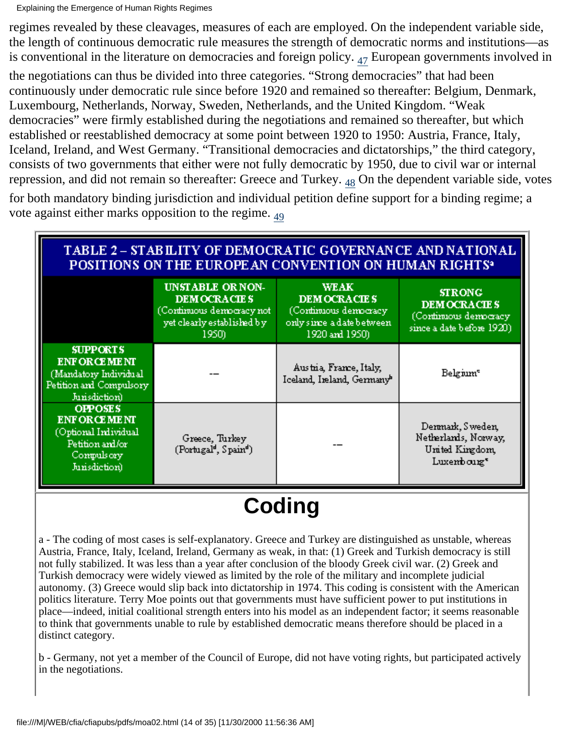regimes revealed by these cleavages, measures of each are employed. On the independent variable side, the length of continuous democratic rule measures the strength of democratic norms and institutions—as is conventional in the literature on democracies and foreign policy.  $_{47}$  European governments involved in

<span id="page-13-0"></span>the negotiations can thus be divided into three categories. "Strong democracies" that had been continuously under democratic rule since before 1920 and remained so thereafter: Belgium, Denmark, Luxembourg, Netherlands, Norway, Sweden, Netherlands, and the United Kingdom. "Weak democracies" were firmly established during the negotiations and remained so thereafter, but which established or reestablished democracy at some point between 1920 to 1950: Austria, France, Italy, Iceland, Ireland, and West Germany. "Transitional democracies and dictatorships," the third category, consists of two governments that either were not fully democratic by 1950, due to civil war or internal repression, and did not remain so thereafter: Greece and Turkey.  $_{48}$  On the dependent variable side, votes

<span id="page-13-2"></span><span id="page-13-1"></span>for both mandatory binding jurisdiction and individual petition define support for a binding regime; a vote against either marks opposition to the regime. [49](#page-30-5)

| TABLE 2 – STABILITY OF DEMOCRATIC GOVERNANCE AND NATIONAL<br>POSITIONS ON THE EUROPEAN CONVENTION ON HUMAN RIGHTS <sup>3</sup> |                                                                                                                   |                                                                                                            |                                                                                          |  |  |
|--------------------------------------------------------------------------------------------------------------------------------|-------------------------------------------------------------------------------------------------------------------|------------------------------------------------------------------------------------------------------------|------------------------------------------------------------------------------------------|--|--|
|                                                                                                                                | <b>UNSTABLE OR NON-</b><br><b>DEMOCRACIES</b><br>(Continuous democracy not<br>yet clearly established by<br>1950) | <b>WEAK</b><br><b>DEMOCRACIES</b><br>(Cominuous democracy)<br>only since a date between<br>1920 and 1950). | <b>STRONG</b><br><b>DEMOCRACIES</b><br>(Cominuous democracy<br>since a date before 1920) |  |  |
| <b>SUPPORTS</b><br><b>ENFORCEMENT</b><br>(Mandatory Individual<br>Petition and Compulsory<br>Junisdiction)                     |                                                                                                                   | Austria, France, Italy,<br>Iceland, Ireland, Germany <sup>b</sup>                                          | Belgium <sup>e</sup>                                                                     |  |  |
| <b>OPPOSES</b><br><b>ENFORCEMENT</b><br>(Optional Individual<br>Petition and/or<br>Compulsory<br>Junisdiction)                 | Greece, Turkey<br>(Portugal <sup>d</sup> , Spain <sup>d</sup> )                                                   |                                                                                                            | Denmark, Sweden,<br>Netherlands, Norway,<br>United Kingdom,<br>Luxembourg*               |  |  |

# **Coding**

a - The coding of most cases is self-explanatory. Greece and Turkey are distinguished as unstable, whereas Austria, France, Italy, Iceland, Ireland, Germany as weak, in that: (1) Greek and Turkish democracy is still not fully stabilized. It was less than a year after conclusion of the bloody Greek civil war. (2) Greek and Turkish democracy were widely viewed as limited by the role of the military and incomplete judicial autonomy. (3) Greece would slip back into dictatorship in 1974. This coding is consistent with the American politics literature. Terry Moe points out that governments must have sufficient power to put institutions in place—indeed, initial coalitional strength enters into his model as an independent factor; it seems reasonable to think that governments unable to rule by established democratic means therefore should be placed in a distinct category.

b - Germany, not yet a member of the Council of Europe, did not have voting rights, but participated actively in the negotiations.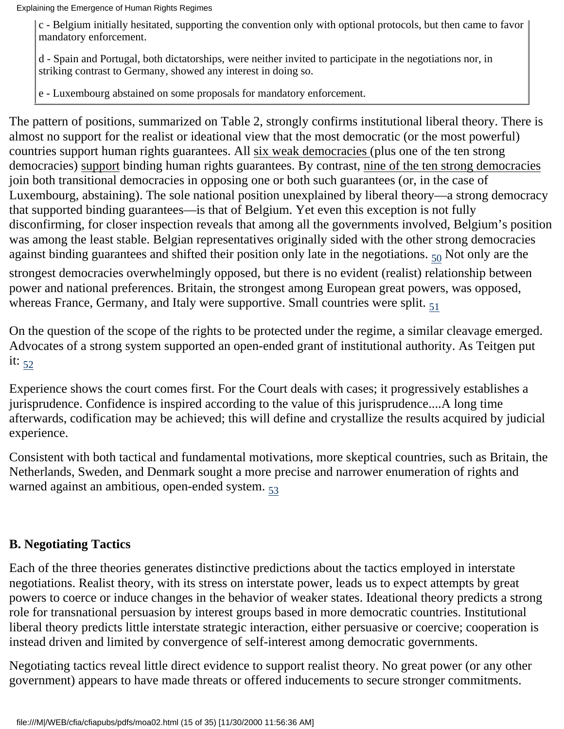c - Belgium initially hesitated, supporting the convention only with optional protocols, but then came to favor mandatory enforcement.

d - Spain and Portugal, both dictatorships, were neither invited to participate in the negotiations nor, in striking contrast to Germany, showed any interest in doing so.

e - Luxembourg abstained on some proposals for mandatory enforcement.

The pattern of positions, summarized on Table 2, strongly confirms institutional liberal theory. There is almost no support for the realist or ideational view that the most democratic (or the most powerful) countries support human rights guarantees. All six weak democracies (plus one of the ten strong democracies) support binding human rights guarantees. By contrast, nine of the ten strong democracies join both transitional democracies in opposing one or both such guarantees (or, in the case of Luxembourg, abstaining). The sole national position unexplained by liberal theory—a strong democracy that supported binding guarantees—is that of Belgium. Yet even this exception is not fully disconfirming, for closer inspection reveals that among all the governments involved, Belgium's position was among the least stable. Belgian representatives originally sided with the other strong democracies against binding guarantees and shifted their position only late in the negotiations.  $_{50}$  Not only are the

<span id="page-14-0"></span>strongest democracies overwhelmingly opposed, but there is no evident (realist) relationship between power and national preferences. Britain, the strongest among European great powers, was opposed, whereas France, Germany, and Italy were supportive. Small countries were split.  $\epsilon_1$ 

<span id="page-14-1"></span>On the question of the scope of the rights to be protected under the regime, a similar cleavage emerged. Advocates of a strong system supported an open-ended grant of institutional authority. As Teitgen put it:  $52$ 

<span id="page-14-2"></span>Experience shows the court comes first. For the Court deals with cases; it progressively establishes a jurisprudence. Confidence is inspired according to the value of this jurisprudence....A long time afterwards, codification may be achieved; this will define and crystallize the results acquired by judicial experience.

<span id="page-14-3"></span>Consistent with both tactical and fundamental motivations, more skeptical countries, such as Britain, the Netherlands, Sweden, and Denmark sought a more precise and narrower enumeration of rights and warned against an ambitious, open-ended system.  $53$ 

#### **B. Negotiating Tactics**

Each of the three theories generates distinctive predictions about the tactics employed in interstate negotiations. Realist theory, with its stress on interstate power, leads us to expect attempts by great powers to coerce or induce changes in the behavior of weaker states. Ideational theory predicts a strong role for transnational persuasion by interest groups based in more democratic countries. Institutional liberal theory predicts little interstate strategic interaction, either persuasive or coercive; cooperation is instead driven and limited by convergence of self-interest among democratic governments.

Negotiating tactics reveal little direct evidence to support realist theory. No great power (or any other government) appears to have made threats or offered inducements to secure stronger commitments.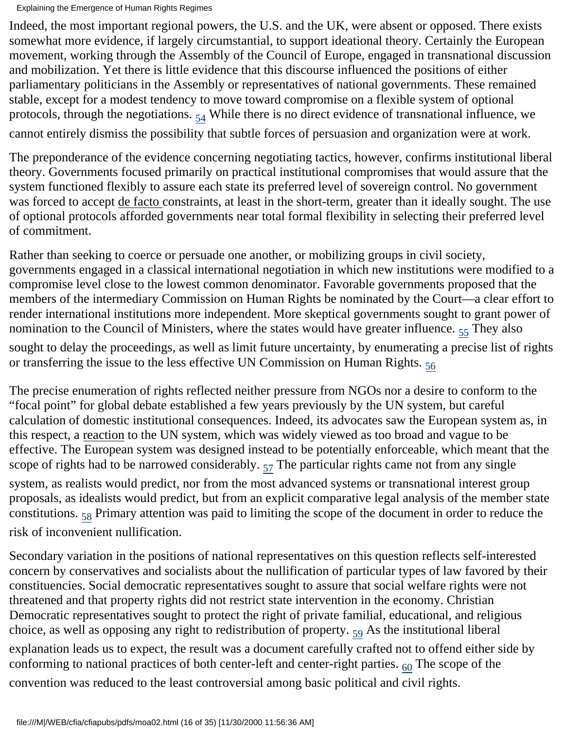Indeed, the most important regional powers, the U.S. and the UK, were absent or opposed. There exists somewhat more evidence, if largely circumstantial, to support ideational theory. Certainly the European movement, working through the Assembly of the Council of Europe, engaged in transnational discussion and mobilization. Yet there is little evidence that this discourse influenced the positions of either parliamentary politicians in the Assembly or representatives of national governments. These remained stable, except for a modest tendency to move toward compromise on a flexible system of optional protocols, through the negotiations.  $_{54}$  While there is no direct evidence of transnational influence, we cannot entirely dismiss the possibility that subtle forces of persuasion and organization were at work.

<span id="page-15-0"></span>The preponderance of the evidence concerning negotiating tactics, however, confirms institutional liberal theory. Governments focused primarily on practical institutional compromises that would assure that the system functioned flexibly to assure each state its preferred level of sovereign control. No government was forced to accept de facto constraints, at least in the short-term, greater than it ideally sought. The use of optional protocols afforded governments near total formal flexibility in selecting their preferred level of commitment.

Rather than seeking to coerce or persuade one another, or mobilizing groups in civil society, governments engaged in a classical international negotiation in which new institutions were modified to a compromise level close to the lowest common denominator. Favorable governments proposed that the members of the intermediary Commission on Human Rights be nominated by the Court—a clear effort to render international institutions more independent. More skeptical governments sought to grant power of nomination to the Council of Ministers, where the states would have greater influence.  $_{55}$  $_{55}$  $_{55}$  They also

<span id="page-15-2"></span><span id="page-15-1"></span>sought to delay the proceedings, as well as limit future uncertainty, by enumerating a precise list of rights or transferring the issue to the less effective UN Commission on Human Rights.  $_{56}$  $_{56}$  $_{56}$ 

The precise enumeration of rights reflected neither pressure from NGOs nor a desire to conform to the "focal point" for global debate established a few years previously by the UN system, but careful calculation of domestic institutional consequences. Indeed, its advocates saw the European system as, in this respect, a reaction to the UN system, which was widely viewed as too broad and vague to be effective. The European system was designed instead to be potentially enforceable, which meant that the scope of rights had to be narrowed considerably.  $_{57}$  The particular rights came not from any single system, as realists would predict, nor from the most advanced systems or transnational interest group proposals, as idealists would predict, but from an explicit comparative legal analysis of the member state constitutions.  $58$  Primary attention was paid to limiting the scope of the document in order to reduce the

<span id="page-15-4"></span><span id="page-15-3"></span>risk of inconvenient nullification.

<span id="page-15-6"></span><span id="page-15-5"></span>Secondary variation in the positions of national representatives on this question reflects self-interested concern by conservatives and socialists about the nullification of particular types of law favored by their constituencies. Social democratic representatives sought to assure that social welfare rights were not threatened and that property rights did not restrict state intervention in the economy. Christian Democratic representatives sought to protect the right of private familial, educational, and religious choice, as well as opposing any right to redistribution of property.  $_{59}$  $_{59}$  $_{59}$  As the institutional liberal explanation leads us to expect, the result was a document carefully crafted not to offend either side by conforming to national practices of both center-left and center-right parties.  $_{60}$  The scope of the convention was reduced to the least controversial among basic political and civil rights.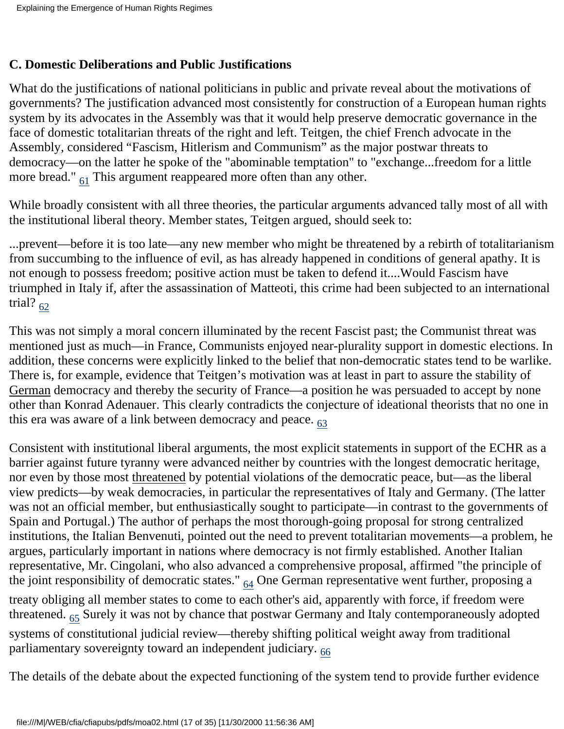#### **C. Domestic Deliberations and Public Justifications**

What do the justifications of national politicians in public and private reveal about the motivations of governments? The justification advanced most consistently for construction of a European human rights system by its advocates in the Assembly was that it would help preserve democratic governance in the face of domestic totalitarian threats of the right and left. Teitgen, the chief French advocate in the Assembly, considered "Fascism, Hitlerism and Communism" as the major postwar threats to democracy—on the latter he spoke of the "abominable temptation" to "exchange...freedom for a little more bread."  $_{61}$  This argument reappeared more often than any other.

<span id="page-16-0"></span>While broadly consistent with all three theories, the particular arguments advanced tally most of all with the institutional liberal theory. Member states, Teitgen argued, should seek to:

...prevent—before it is too late—any new member who might be threatened by a rebirth of totalitarianism from succumbing to the influence of evil, as has already happened in conditions of general apathy. It is not enough to possess freedom; positive action must be taken to defend it....Would Fascism have triumphed in Italy if, after the assassination of Matteoti, this crime had been subjected to an international trial?  $62$ 

<span id="page-16-1"></span>This was not simply a moral concern illuminated by the recent Fascist past; the Communist threat was mentioned just as much—in France, Communists enjoyed near-plurality support in domestic elections. In addition, these concerns were explicitly linked to the belief that non-democratic states tend to be warlike. There is, for example, evidence that Teitgen's motivation was at least in part to assure the stability of German democracy and thereby the security of France—a position he was persuaded to accept by none other than Konrad Adenauer. This clearly contradicts the conjecture of ideational theorists that no one in this era was aware of a link between democracy and peace.  $63$ 

<span id="page-16-2"></span>Consistent with institutional liberal arguments, the most explicit statements in support of the ECHR as a barrier against future tyranny were advanced neither by countries with the longest democratic heritage, nor even by those most threatened by potential violations of the democratic peace, but—as the liberal view predicts—by weak democracies, in particular the representatives of Italy and Germany. (The latter was not an official member, but enthusiastically sought to participate—in contrast to the governments of Spain and Portugal.) The author of perhaps the most thorough-going proposal for strong centralized institutions, the Italian Benvenuti, pointed out the need to prevent totalitarian movements—a problem, he argues, particularly important in nations where democracy is not firmly established. Another Italian representative, Mr. Cingolani, who also advanced a comprehensive proposal, affirmed "the principle of the joint responsibility of democratic states."  $_{64}$  One German representative went further, proposing a treaty obliging all member states to come to each other's aid, apparently with force, if freedom were threatened. <sub>65</sub> Surely it was not by chance that postwar Germany and Italy contemporaneously adopted systems of constitutional judicial review—thereby shifting political weight away from traditional parliamentary sovereignty toward an independent judiciary.  $66$ 

<span id="page-16-5"></span><span id="page-16-4"></span><span id="page-16-3"></span>The details of the debate about the expected functioning of the system tend to provide further evidence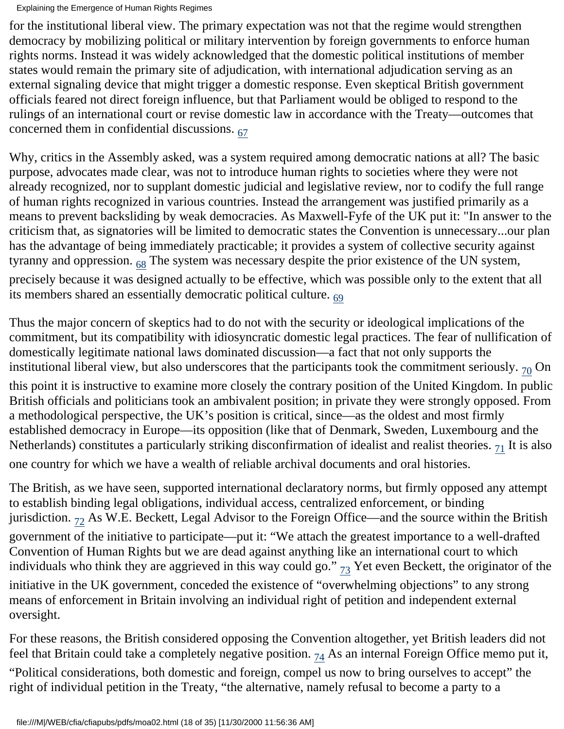for the institutional liberal view. The primary expectation was not that the regime would strengthen democracy by mobilizing political or military intervention by foreign governments to enforce human rights norms. Instead it was widely acknowledged that the domestic political institutions of member states would remain the primary site of adjudication, with international adjudication serving as an external signaling device that might trigger a domestic response. Even skeptical British government officials feared not direct foreign influence, but that Parliament would be obliged to respond to the rulings of an international court or revise domestic law in accordance with the Treaty—outcomes that concerned them in confidential discussions.  $67$ 

<span id="page-17-0"></span>Why, critics in the Assembly asked, was a system required among democratic nations at all? The basic purpose, advocates made clear, was not to introduce human rights to societies where they were not already recognized, nor to supplant domestic judicial and legislative review, nor to codify the full range of human rights recognized in various countries. Instead the arrangement was justified primarily as a means to prevent backsliding by weak democracies. As Maxwell-Fyfe of the UK put it: "In answer to the criticism that, as signatories will be limited to democratic states the Convention is unnecessary...our plan has the advantage of being immediately practicable; it provides a system of collective security against tyranny and oppression.  $68$  The system was necessary despite the prior existence of the UN system, precisely because it was designed actually to be effective, which was possible only to the extent that all its members shared an essentially democratic political culture.  $_{69}$  $_{69}$  $_{69}$ 

<span id="page-17-2"></span><span id="page-17-1"></span>Thus the major concern of skeptics had to do not with the security or ideological implications of the commitment, but its compatibility with idiosyncratic domestic legal practices. The fear of nullification of domestically legitimate national laws dominated discussion—a fact that not only supports the institutional liberal view, but also underscores that the participants took the commitment seriously.  $_{70}$  On

<span id="page-17-3"></span>this point it is instructive to examine more closely the contrary position of the United Kingdom. In public British officials and politicians took an ambivalent position; in private they were strongly opposed. From a methodological perspective, the UK's position is critical, since—as the oldest and most firmly established democracy in Europe—its opposition (like that of Denmark, Sweden, Luxembourg and the Netherlands) constitutes a particularly striking disconfirmation of idealist and realist theories.  $7<sub>1</sub>$  It is also one country for which we have a wealth of reliable archival documents and oral histories.

<span id="page-17-5"></span><span id="page-17-4"></span>The British, as we have seen, supported international declaratory norms, but firmly opposed any attempt to establish binding legal obligations, individual access, centralized enforcement, or binding jurisdiction.  $_{72}$  As W.E. Beckett, Legal Advisor to the Foreign Office—and the source within the British government of the initiative to participate—put it: "We attach the greatest importance to a well-drafted Convention of Human Rights but we are dead against anything like an international court to which individuals who think they are aggrieved in this way could go."  $_{73}$  Yet even Beckett, the originator of the initiative in the UK government, conceded the existence of "overwhelming objections" to any strong means of enforcement in Britain involving an individual right of petition and independent external oversight.

<span id="page-17-7"></span><span id="page-17-6"></span>For these reasons, the British considered opposing the Convention altogether, yet British leaders did not feel that Britain could take a completely negative position.  $74$  As an internal Foreign Office memo put it, "Political considerations, both domestic and foreign, compel us now to bring ourselves to accept" the right of individual petition in the Treaty, "the alternative, namely refusal to become a party to a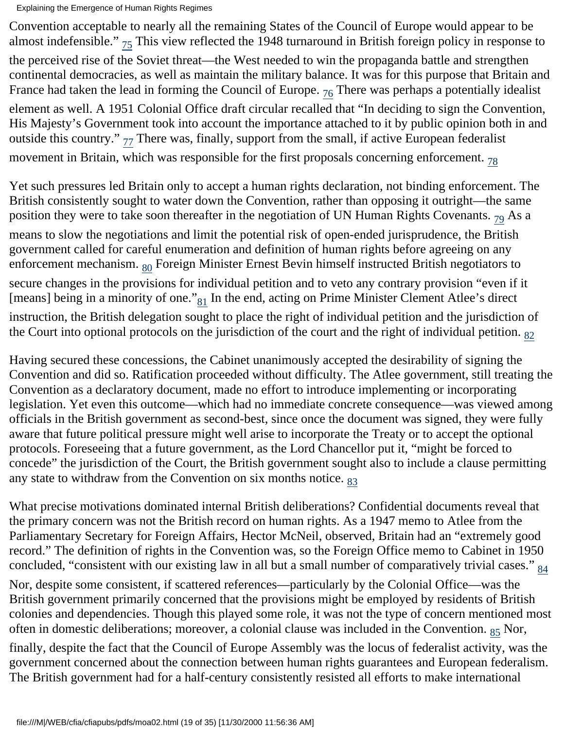<span id="page-18-1"></span><span id="page-18-0"></span>Convention acceptable to nearly all the remaining States of the Council of Europe would appear to be almost indefensible."  $_{75}$  This view reflected the 1948 turnaround in British foreign policy in response to the perceived rise of the Soviet threat—the West needed to win the propaganda battle and strengthen continental democracies, as well as maintain the military balance. It was for this purpose that Britain and France had taken the lead in forming the Council of Europe.  $_{76}$  There was perhaps a potentially idealist element as well. A 1951 Colonial Office draft circular recalled that "In deciding to sign the Convention, His Majesty's Government took into account the importance attached to it by public opinion both in and outside this country."  $_{77}$  There was, finally, support from the small, if active European federalist movement in Britain, which was responsible for the first proposals concerning enforcement.  $78$ 

<span id="page-18-5"></span><span id="page-18-4"></span><span id="page-18-3"></span><span id="page-18-2"></span>Yet such pressures led Britain only to accept a human rights declaration, not binding enforcement. The British consistently sought to water down the Convention, rather than opposing it outright—the same position they were to take soon thereafter in the negotiation of UN Human Rights Covenants.  $_{79}$  As a means to slow the negotiations and limit the potential risk of open-ended jurisprudence, the British government called for careful enumeration and definition of human rights before agreeing on any enforcement mechanism. <sub>80</sub> Foreign Minister Ernest Bevin himself instructed British negotiators to secure changes in the provisions for individual petition and to veto any contrary provision "even if it [means] being in a minority of one." $_{81}$  In the end, acting on Prime Minister Clement Atlee's direct instruction, the British delegation sought to place the right of individual petition and the jurisdiction of the Court into optional protocols on the jurisdiction of the court and the right of individual petition.  $_{82}$ 

<span id="page-18-7"></span><span id="page-18-6"></span>Having secured these concessions, the Cabinet unanimously accepted the desirability of signing the Convention and did so. Ratification proceeded without difficulty. The Atlee government, still treating the Convention as a declaratory document, made no effort to introduce implementing or incorporating legislation. Yet even this outcome—which had no immediate concrete consequence—was viewed among officials in the British government as second-best, since once the document was signed, they were fully aware that future political pressure might well arise to incorporate the Treaty or to accept the optional protocols. Foreseeing that a future government, as the Lord Chancellor put it, "might be forced to concede" the jurisdiction of the Court, the British government sought also to include a clause permitting any state to withdraw from the Convention on six months notice.  $83$ 

<span id="page-18-8"></span>What precise motivations dominated internal British deliberations? Confidential documents reveal that the primary concern was not the British record on human rights. As a 1947 memo to Atlee from the Parliamentary Secretary for Foreign Affairs, Hector McNeil, observed, Britain had an "extremely good record." The definition of rights in the Convention was, so the Foreign Office memo to Cabinet in 1950 concluded, "consistent with our existing law in all but a small number of comparatively trivial cases."  $_{84}$  $_{84}$  $_{84}$ 

<span id="page-18-9"></span>Nor, despite some consistent, if scattered references—particularly by the Colonial Office—was the British government primarily concerned that the provisions might be employed by residents of British colonies and dependencies. Though this played some role, it was not the type of concern mentioned most often in domestic deliberations; moreover, a colonial clause was included in the Convention.  $_{85}$  Nor,

<span id="page-18-10"></span>finally, despite the fact that the Council of Europe Assembly was the locus of federalist activity, was the government concerned about the connection between human rights guarantees and European federalism. The British government had for a half-century consistently resisted all efforts to make international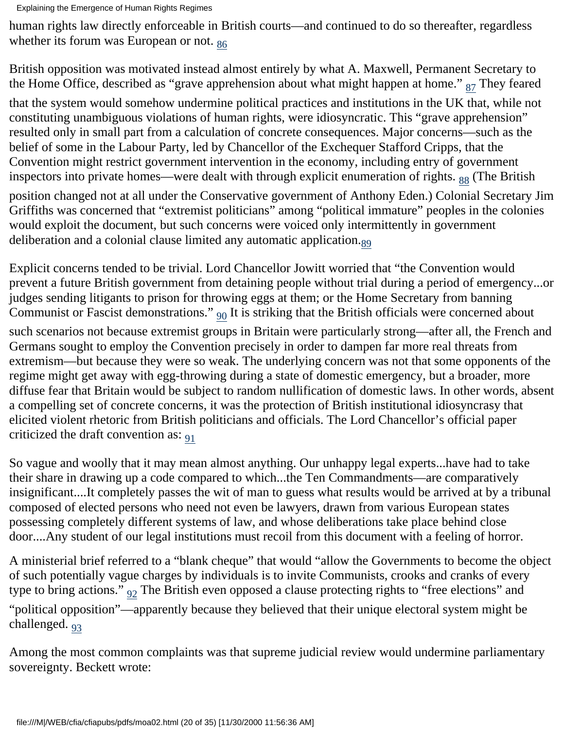<span id="page-19-0"></span>human rights law directly enforceable in British courts—and continued to do so thereafter, regardless whether its forum was European or not.  $_{86}$  $_{86}$  $_{86}$ 

British opposition was motivated instead almost entirely by what A. Maxwell, Permanent Secretary to the Home Office, described as "grave apprehension about what might happen at home."  $_{87}$  They feared

<span id="page-19-1"></span>that the system would somehow undermine political practices and institutions in the UK that, while not constituting unambiguous violations of human rights, were idiosyncratic. This "grave apprehension" resulted only in small part from a calculation of concrete consequences. Major concerns—such as the belief of some in the Labour Party, led by Chancellor of the Exchequer Stafford Cripps, that the Convention might restrict government intervention in the economy, including entry of government inspectors into private homes—were dealt with through explicit enumeration of rights.  $_{88}$  (The British position changed not at all under the Conservative government of Anthony Eden.) Colonial Secretary Jim Griffiths was concerned that "extremist politicians" among "political immature" peoples in the colonies

<span id="page-19-3"></span><span id="page-19-2"></span>would exploit the document, but such concerns were voiced only intermittently in government deliberation and a colonial clause limited any automatic application.<sub>89</sub>

<span id="page-19-4"></span>Explicit concerns tended to be trivial. Lord Chancellor Jowitt worried that "the Convention would prevent a future British government from detaining people without trial during a period of emergency...or judges sending litigants to prison for throwing eggs at them; or the Home Secretary from banning Communist or Fascist demonstrations."  $_{90}$  It is striking that the British officials were concerned about such scenarios not because extremist groups in Britain were particularly strong—after all, the French and Germans sought to employ the Convention precisely in order to dampen far more real threats from extremism—but because they were so weak. The underlying concern was not that some opponents of the regime might get away with egg-throwing during a state of domestic emergency, but a broader, more diffuse fear that Britain would be subject to random nullification of domestic laws. In other words, absent a compelling set of concrete concerns, it was the protection of British institutional idiosyncrasy that elicited violent rhetoric from British politicians and officials. The Lord Chancellor's official paper criticized the draft convention as:  $_{91}$  $_{91}$  $_{91}$ 

<span id="page-19-5"></span>So vague and woolly that it may mean almost anything. Our unhappy legal experts...have had to take their share in drawing up a code compared to which...the Ten Commandments—are comparatively insignificant....It completely passes the wit of man to guess what results would be arrived at by a tribunal composed of elected persons who need not even be lawyers, drawn from various European states possessing completely different systems of law, and whose deliberations take place behind close door....Any student of our legal institutions must recoil from this document with a feeling of horror.

A ministerial brief referred to a "blank cheque" that would "allow the Governments to become the object of such potentially vague charges by individuals is to invite Communists, crooks and cranks of every type to bring actions."  $_{92}$  $_{92}$  $_{92}$  The British even opposed a clause protecting rights to "free elections" and

<span id="page-19-7"></span><span id="page-19-6"></span>"political opposition"—apparently because they believed that their unique electoral system might be challenged. [93](#page-33-12)

Among the most common complaints was that supreme judicial review would undermine parliamentary sovereignty. Beckett wrote: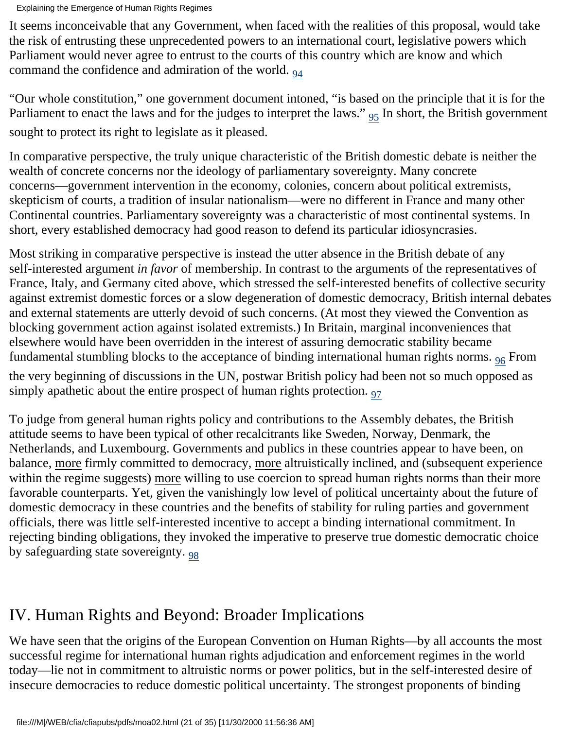It seems inconceivable that any Government, when faced with the realities of this proposal, would take the risk of entrusting these unprecedented powers to an international court, legislative powers which Parliament would never agree to entrust to the courts of this country which are know and which command the confidence and admiration of the world.  $_{94}$  $_{94}$  $_{94}$ 

<span id="page-20-1"></span><span id="page-20-0"></span>"Our whole constitution," one government document intoned, "is based on the principle that it is for the Parliament to enact the laws and for the judges to interpret the laws."  $_{95}$  In short, the British government sought to protect its right to legislate as it pleased.

In comparative perspective, the truly unique characteristic of the British domestic debate is neither the wealth of concrete concerns nor the ideology of parliamentary sovereignty. Many concrete concerns—government intervention in the economy, colonies, concern about political extremists, skepticism of courts, a tradition of insular nationalism—were no different in France and many other Continental countries. Parliamentary sovereignty was a characteristic of most continental systems. In short, every established democracy had good reason to defend its particular idiosyncrasies.

Most striking in comparative perspective is instead the utter absence in the British debate of any self-interested argument *in favor* of membership. In contrast to the arguments of the representatives of France, Italy, and Germany cited above, which stressed the self-interested benefits of collective security against extremist domestic forces or a slow degeneration of domestic democracy, British internal debates and external statements are utterly devoid of such concerns. (At most they viewed the Convention as blocking government action against isolated extremists.) In Britain, marginal inconveniences that elsewhere would have been overridden in the interest of assuring democratic stability became fundamental stumbling blocks to the acceptance of binding international human rights norms.  $96$  From

<span id="page-20-3"></span><span id="page-20-2"></span>the very beginning of discussions in the UN, postwar British policy had been not so much opposed as simply apathetic about the entire prospect of human rights protection.  $97$ 

To judge from general human rights policy and contributions to the Assembly debates, the British attitude seems to have been typical of other recalcitrants like Sweden, Norway, Denmark, the Netherlands, and Luxembourg. Governments and publics in these countries appear to have been, on balance, more firmly committed to democracy, more altruistically inclined, and (subsequent experience within the regime suggests) more willing to use coercion to spread human rights norms than their more favorable counterparts. Yet, given the vanishingly low level of political uncertainty about the future of domestic democracy in these countries and the benefits of stability for ruling parties and government officials, there was little self-interested incentive to accept a binding international commitment. In rejecting binding obligations, they invoked the imperative to preserve true domestic democratic choice by safeguarding state sovereignty.  $_{98}$  $_{98}$  $_{98}$ 

# <span id="page-20-4"></span>IV. Human Rights and Beyond: Broader Implications

We have seen that the origins of the European Convention on Human Rights—by all accounts the most successful regime for international human rights adjudication and enforcement regimes in the world today—lie not in commitment to altruistic norms or power politics, but in the self-interested desire of insecure democracies to reduce domestic political uncertainty. The strongest proponents of binding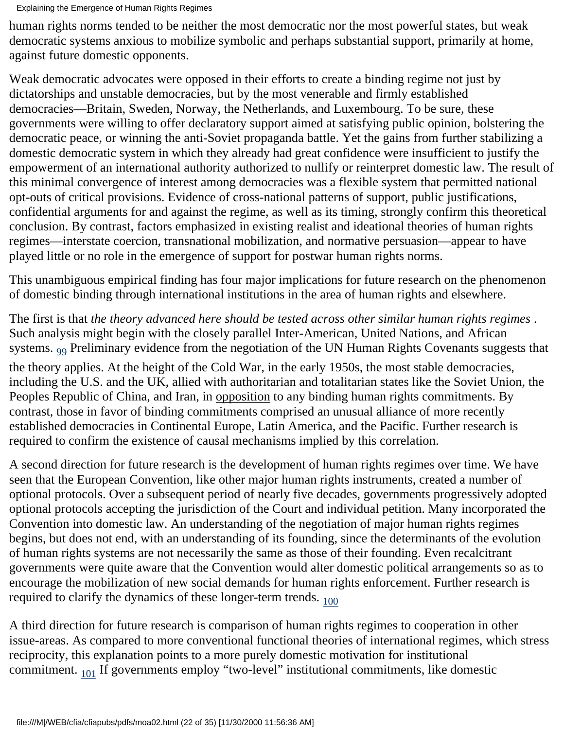Explaining the Emergence of Human Rights Regimes

human rights norms tended to be neither the most democratic nor the most powerful states, but weak democratic systems anxious to mobilize symbolic and perhaps substantial support, primarily at home, against future domestic opponents.

Weak democratic advocates were opposed in their efforts to create a binding regime not just by dictatorships and unstable democracies, but by the most venerable and firmly established democracies—Britain, Sweden, Norway, the Netherlands, and Luxembourg. To be sure, these governments were willing to offer declaratory support aimed at satisfying public opinion, bolstering the democratic peace, or winning the anti-Soviet propaganda battle. Yet the gains from further stabilizing a domestic democratic system in which they already had great confidence were insufficient to justify the empowerment of an international authority authorized to nullify or reinterpret domestic law. The result of this minimal convergence of interest among democracies was a flexible system that permitted national opt-outs of critical provisions. Evidence of cross-national patterns of support, public justifications, confidential arguments for and against the regime, as well as its timing, strongly confirm this theoretical conclusion. By contrast, factors emphasized in existing realist and ideational theories of human rights regimes—interstate coercion, transnational mobilization, and normative persuasion—appear to have played little or no role in the emergence of support for postwar human rights norms.

This unambiguous empirical finding has four major implications for future research on the phenomenon of domestic binding through international institutions in the area of human rights and elsewhere.

The first is that *the theory advanced here should be tested across other similar human rights regimes* . Such analysis might begin with the closely parallel Inter-American, United Nations, and African systems.  $99$  Preliminary evidence from the negotiation of the UN Human Rights Covenants suggests that

<span id="page-21-0"></span>the theory applies. At the height of the Cold War, in the early 1950s, the most stable democracies, including the U.S. and the UK, allied with authoritarian and totalitarian states like the Soviet Union, the Peoples Republic of China, and Iran, in opposition to any binding human rights commitments. By contrast, those in favor of binding commitments comprised an unusual alliance of more recently established democracies in Continental Europe, Latin America, and the Pacific. Further research is required to confirm the existence of causal mechanisms implied by this correlation.

A second direction for future research is the development of human rights regimes over time. We have seen that the European Convention, like other major human rights instruments, created a number of optional protocols. Over a subsequent period of nearly five decades, governments progressively adopted optional protocols accepting the jurisdiction of the Court and individual petition. Many incorporated the Convention into domestic law. An understanding of the negotiation of major human rights regimes begins, but does not end, with an understanding of its founding, since the determinants of the evolution of human rights systems are not necessarily the same as those of their founding. Even recalcitrant governments were quite aware that the Convention would alter domestic political arrangements so as to encourage the mobilization of new social demands for human rights enforcement. Further research is required to clarify the dynamics of these longer-term trends.  $_{100}$  $_{100}$  $_{100}$ 

<span id="page-21-2"></span><span id="page-21-1"></span>A third direction for future research is comparison of human rights regimes to cooperation in other issue-areas. As compared to more conventional functional theories of international regimes, which stress reciprocity, this explanation points to a more purely domestic motivation for institutional commitment. <sub>101</sub> If governments employ "two-level" institutional commitments, like domestic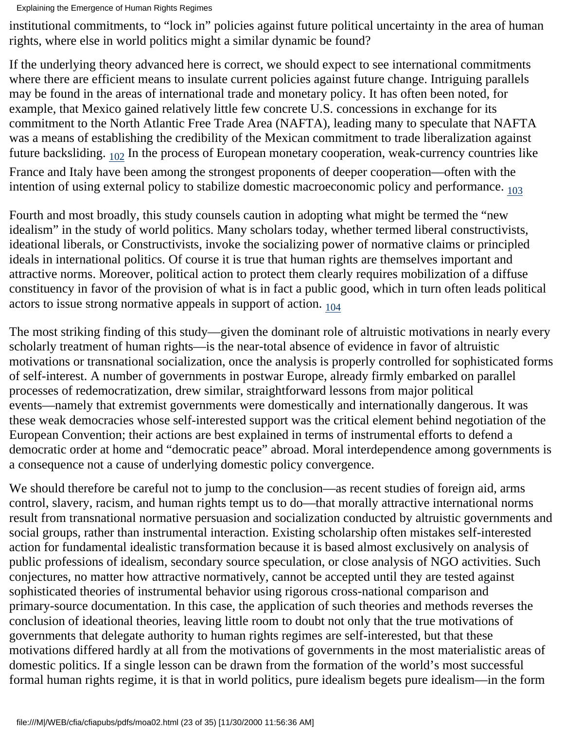institutional commitments, to "lock in" policies against future political uncertainty in the area of human rights, where else in world politics might a similar dynamic be found?

If the underlying theory advanced here is correct, we should expect to see international commitments where there are efficient means to insulate current policies against future change. Intriguing parallels may be found in the areas of international trade and monetary policy. It has often been noted, for example, that Mexico gained relatively little few concrete U.S. concessions in exchange for its commitment to the North Atlantic Free Trade Area (NAFTA), leading many to speculate that NAFTA was a means of establishing the credibility of the Mexican commitment to trade liberalization against future backsliding.  $102$  In the process of European monetary cooperation, weak-currency countries like France and Italy have been among the strongest proponents of deeper cooperation—often with the intention of using external policy to stabilize domestic macroeconomic policy and performance. [103](#page-34-4)

<span id="page-22-1"></span><span id="page-22-0"></span>Fourth and most broadly, this study counsels caution in adopting what might be termed the "new idealism" in the study of world politics. Many scholars today, whether termed liberal constructivists, ideational liberals, or Constructivists, invoke the socializing power of normative claims or principled ideals in international politics. Of course it is true that human rights are themselves important and attractive norms. Moreover, political action to protect them clearly requires mobilization of a diffuse constituency in favor of the provision of what is in fact a public good, which in turn often leads political actors to issue strong normative appeals in support of action.  $_{104}$ 

<span id="page-22-2"></span>The most striking finding of this study—given the dominant role of altruistic motivations in nearly every scholarly treatment of human rights—is the near-total absence of evidence in favor of altruistic motivations or transnational socialization, once the analysis is properly controlled for sophisticated forms of self-interest. A number of governments in postwar Europe, already firmly embarked on parallel processes of redemocratization, drew similar, straightforward lessons from major political events—namely that extremist governments were domestically and internationally dangerous. It was these weak democracies whose self-interested support was the critical element behind negotiation of the European Convention; their actions are best explained in terms of instrumental efforts to defend a democratic order at home and "democratic peace" abroad. Moral interdependence among governments is a consequence not a cause of underlying domestic policy convergence.

We should therefore be careful not to jump to the conclusion—as recent studies of foreign aid, arms control, slavery, racism, and human rights tempt us to do—that morally attractive international norms result from transnational normative persuasion and socialization conducted by altruistic governments and social groups, rather than instrumental interaction. Existing scholarship often mistakes self-interested action for fundamental idealistic transformation because it is based almost exclusively on analysis of public professions of idealism, secondary source speculation, or close analysis of NGO activities. Such conjectures, no matter how attractive normatively, cannot be accepted until they are tested against sophisticated theories of instrumental behavior using rigorous cross-national comparison and primary-source documentation. In this case, the application of such theories and methods reverses the conclusion of ideational theories, leaving little room to doubt not only that the true motivations of governments that delegate authority to human rights regimes are self-interested, but that these motivations differed hardly at all from the motivations of governments in the most materialistic areas of domestic politics. If a single lesson can be drawn from the formation of the world's most successful formal human rights regime, it is that in world politics, pure idealism begets pure idealism—in the form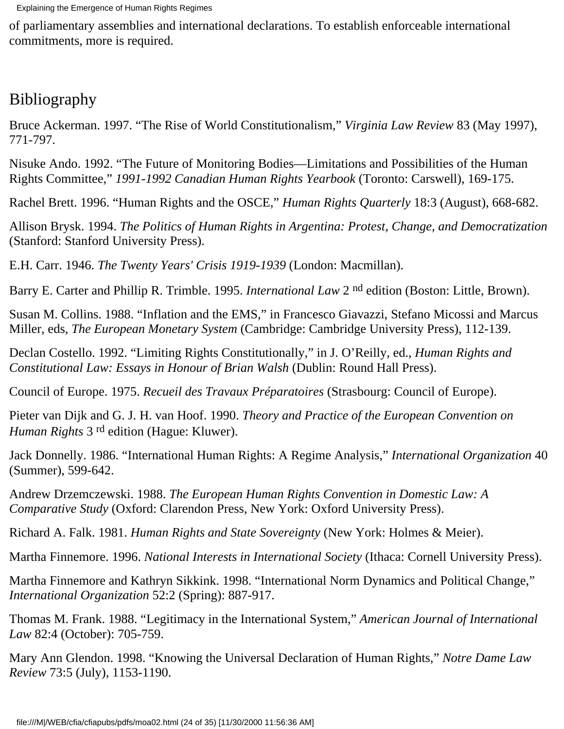of parliamentary assemblies and international declarations. To establish enforceable international commitments, more is required.

## Bibliography

Bruce Ackerman. 1997. "The Rise of World Constitutionalism," *Virginia Law Review* 83 (May 1997), 771-797.

Nisuke Ando. 1992. "The Future of Monitoring Bodies—Limitations and Possibilities of the Human Rights Committee," *1991-1992 Canadian Human Rights Yearbook* (Toronto: Carswell), 169-175.

Rachel Brett. 1996. "Human Rights and the OSCE," *Human Rights Quarterly* 18:3 (August), 668-682.

Allison Brysk. 1994. *The Politics of Human Rights in Argentina: Protest, Change, and Democratization* (Stanford: Stanford University Press).

E.H. Carr. 1946. *The Twenty Years' Crisis 1919-1939* (London: Macmillan).

Barry E. Carter and Phillip R. Trimble. 1995. *International Law* 2 nd edition (Boston: Little, Brown).

Susan M. Collins. 1988. "Inflation and the EMS," in Francesco Giavazzi, Stefano Micossi and Marcus Miller, eds, *The European Monetary System* (Cambridge: Cambridge University Press), 112-139.

Declan Costello. 1992. "Limiting Rights Constitutionally," in J. O'Reilly, ed., *Human Rights and Constitutional Law: Essays in Honour of Brian Walsh* (Dublin: Round Hall Press).

Council of Europe. 1975. *Recueil des Travaux Préparatoires* (Strasbourg: Council of Europe).

Pieter van Dijk and G. J. H. van Hoof. 1990. *Theory and Practice of the European Convention on Human Rights* 3 rd edition (Hague: Kluwer).

Jack Donnelly. 1986. "International Human Rights: A Regime Analysis," *International Organization* 40 (Summer), 599-642.

Andrew Drzemczewski. 1988. *The European Human Rights Convention in Domestic Law: A Comparative Study* (Oxford: Clarendon Press, New York: Oxford University Press).

Richard A. Falk. 1981. *Human Rights and State Sovereignty* (New York: Holmes & Meier).

Martha Finnemore. 1996. *National Interests in International Society* (Ithaca: Cornell University Press).

Martha Finnemore and Kathryn Sikkink. 1998. "International Norm Dynamics and Political Change," *International Organization* 52:2 (Spring): 887-917.

Thomas M. Frank. 1988. "Legitimacy in the International System," *American Journal of International Law* 82:4 (October): 705-759.

Mary Ann Glendon. 1998. "Knowing the Universal Declaration of Human Rights," *Notre Dame Law Review* 73:5 (July), 1153-1190.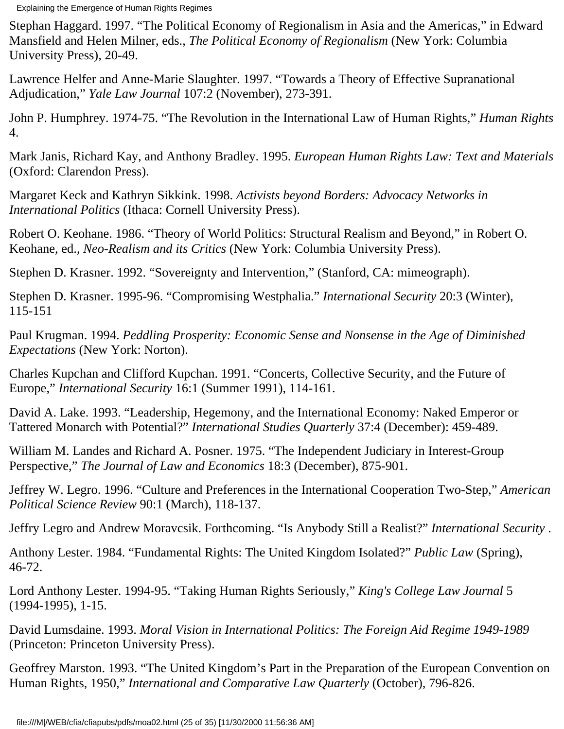Stephan Haggard. 1997. "The Political Economy of Regionalism in Asia and the Americas," in Edward Mansfield and Helen Milner, eds., *The Political Economy of Regionalism* (New York: Columbia University Press), 20-49.

Lawrence Helfer and Anne-Marie Slaughter. 1997. "Towards a Theory of Effective Supranational Adjudication," *Yale Law Journal* 107:2 (November), 273-391.

John P. Humphrey. 1974-75. "The Revolution in the International Law of Human Rights," *Human Rights* 4.

Mark Janis, Richard Kay, and Anthony Bradley. 1995. *European Human Rights Law: Text and Materials* (Oxford: Clarendon Press).

Margaret Keck and Kathryn Sikkink. 1998. *Activists beyond Borders: Advocacy Networks in International Politics* (Ithaca: Cornell University Press).

Robert O. Keohane. 1986. "Theory of World Politics: Structural Realism and Beyond," in Robert O. Keohane, ed., *Neo-Realism and its Critics* (New York: Columbia University Press).

Stephen D. Krasner. 1992. "Sovereignty and Intervention," (Stanford, CA: mimeograph).

Stephen D. Krasner. 1995-96. "Compromising Westphalia." *International Security* 20:3 (Winter), 115-151

Paul Krugman. 1994. *Peddling Prosperity: Economic Sense and Nonsense in the Age of Diminished Expectations* (New York: Norton).

Charles Kupchan and Clifford Kupchan. 1991. "Concerts, Collective Security, and the Future of Europe," *International Security* 16:1 (Summer 1991), 114-161.

David A. Lake. 1993. "Leadership, Hegemony, and the International Economy: Naked Emperor or Tattered Monarch with Potential?" *International Studies Quarterly* 37:4 (December): 459-489.

William M. Landes and Richard A. Posner. 1975. "The Independent Judiciary in Interest-Group Perspective," *The Journal of Law and Economics* 18:3 (December), 875-901.

Jeffrey W. Legro. 1996. "Culture and Preferences in the International Cooperation Two-Step," *American Political Science Review* 90:1 (March), 118-137.

Jeffry Legro and Andrew Moravcsik. Forthcoming. "Is Anybody Still a Realist?" *International Security* .

Anthony Lester. 1984. "Fundamental Rights: The United Kingdom Isolated?" *Public Law* (Spring), 46-72.

Lord Anthony Lester. 1994-95. "Taking Human Rights Seriously," *King's College Law Journal* 5 (1994-1995), 1-15.

David Lumsdaine. 1993. *Moral Vision in International Politics: The Foreign Aid Regime 1949-1989* (Princeton: Princeton University Press).

Geoffrey Marston. 1993. "The United Kingdom's Part in the Preparation of the European Convention on Human Rights, 1950," *International and Comparative Law Quarterly* (October), 796-826.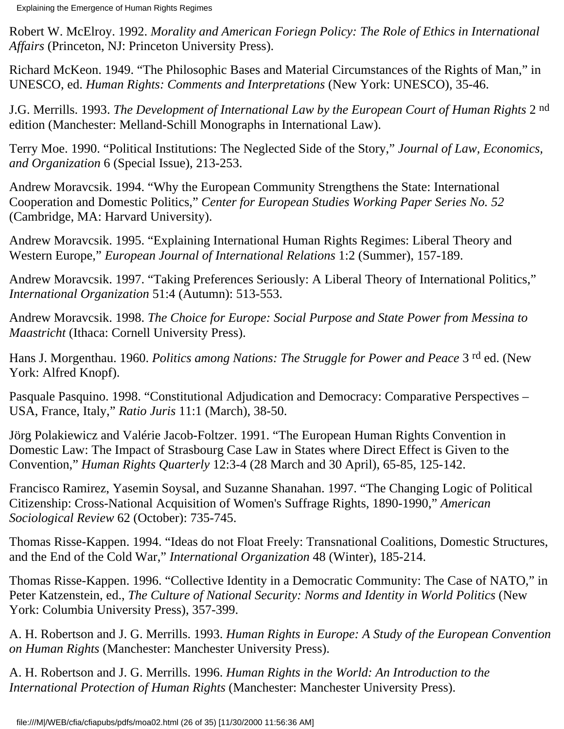Robert W. McElroy. 1992. *Morality and American Foriegn Policy: The Role of Ethics in International Affairs* (Princeton, NJ: Princeton University Press).

Richard McKeon. 1949. "The Philosophic Bases and Material Circumstances of the Rights of Man," in UNESCO, ed. *Human Rights: Comments and Interpretations* (New York: UNESCO), 35-46.

J.G. Merrills. 1993. *The Development of International Law by the European Court of Human Rights* 2 nd edition (Manchester: Melland-Schill Monographs in International Law).

Terry Moe. 1990. "Political Institutions: The Neglected Side of the Story," *Journal of Law, Economics, and Organization* 6 (Special Issue), 213-253.

Andrew Moravcsik. 1994. "Why the European Community Strengthens the State: International Cooperation and Domestic Politics," *Center for European Studies Working Paper Series No. 52* (Cambridge, MA: Harvard University).

Andrew Moravcsik. 1995. "Explaining International Human Rights Regimes: Liberal Theory and Western Europe," *European Journal of International Relations* 1:2 (Summer), 157-189.

Andrew Moravcsik. 1997. "Taking Preferences Seriously: A Liberal Theory of International Politics," *International Organization* 51:4 (Autumn): 513-553.

Andrew Moravcsik. 1998. *The Choice for Europe: Social Purpose and State Power from Messina to Maastricht* (Ithaca: Cornell University Press).

Hans J. Morgenthau. 1960. *Politics among Nations: The Struggle for Power and Peace* 3 rd ed. (New York: Alfred Knopf).

Pasquale Pasquino. 1998. "Constitutional Adjudication and Democracy: Comparative Perspectives – USA, France, Italy," *Ratio Juris* 11:1 (March), 38-50.

Jörg Polakiewicz and Valérie Jacob-Foltzer. 1991. "The European Human Rights Convention in Domestic Law: The Impact of Strasbourg Case Law in States where Direct Effect is Given to the Convention," *Human Rights Quarterly* 12:3-4 (28 March and 30 April), 65-85, 125-142.

Francisco Ramirez, Yasemin Soysal, and Suzanne Shanahan. 1997. "The Changing Logic of Political Citizenship: Cross-National Acquisition of Women's Suffrage Rights, 1890-1990," *American Sociological Review* 62 (October): 735-745.

Thomas Risse-Kappen. 1994. "Ideas do not Float Freely: Transnational Coalitions, Domestic Structures, and the End of the Cold War," *International Organization* 48 (Winter), 185-214.

Thomas Risse-Kappen. 1996. "Collective Identity in a Democratic Community: The Case of NATO," in Peter Katzenstein, ed., *The Culture of National Security: Norms and Identity in World Politics* (New York: Columbia University Press), 357-399.

A. H. Robertson and J. G. Merrills. 1993. *Human Rights in Europe: A Study of the European Convention on Human Rights* (Manchester: Manchester University Press).

A. H. Robertson and J. G. Merrills. 1996. *Human Rights in the World: An Introduction to the International Protection of Human Rights* (Manchester: Manchester University Press).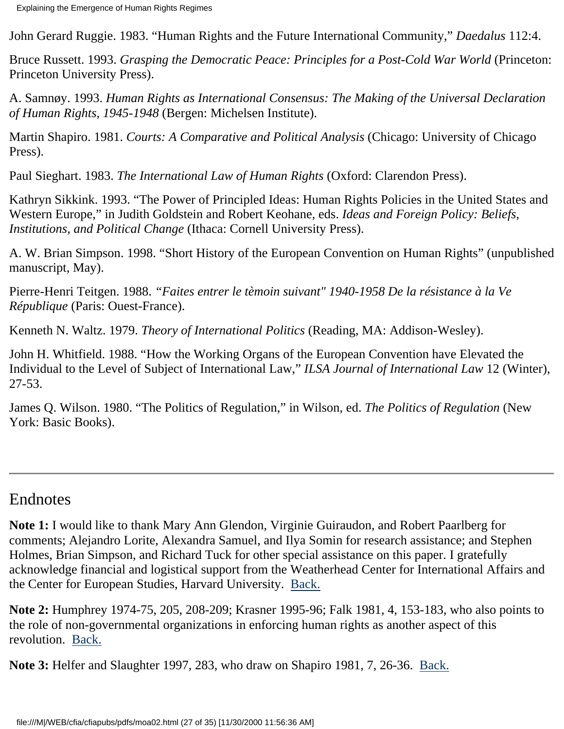John Gerard Ruggie. 1983. "Human Rights and the Future International Community," *Daedalus* 112:4.

Bruce Russett. 1993. *Grasping the Democratic Peace: Principles for a Post-Cold War World* (Princeton: Princeton University Press).

A. Samnøy. 1993. *Human Rights as International Consensus: The Making of the Universal Declaration of Human Rights, 1945-1948* (Bergen: Michelsen Institute).

Martin Shapiro. 1981. *Courts: A Comparative and Political Analysis* (Chicago: University of Chicago Press).

Paul Sieghart. 1983. *The International Law of Human Rights* (Oxford: Clarendon Press).

Kathryn Sikkink. 1993. "The Power of Principled Ideas: Human Rights Policies in the United States and Western Europe," in Judith Goldstein and Robert Keohane, eds. *Ideas and Foreign Policy: Beliefs, Institutions, and Political Change* (Ithaca: Cornell University Press).

A. W. Brian Simpson. 1998. "Short History of the European Convention on Human Rights" (unpublished manuscript, May).

Pierre-Henri Teitgen. 1988. *"Faites entrer le tèmoin suivant" 1940-1958 De la résistance à la Ve République* (Paris: Ouest-France).

Kenneth N. Waltz. 1979. *Theory of International Politics* (Reading, MA: Addison-Wesley).

John H. Whitfield. 1988. "How the Working Organs of the European Convention have Elevated the Individual to the Level of Subject of International Law," *ILSA Journal of International Law* 12 (Winter), 27-53.

James Q. Wilson. 1980. "The Politics of Regulation," in Wilson, ed. *The Politics of Regulation* (New York: Basic Books).

## Endnotes

<span id="page-26-0"></span>**Note 1:** I would like to thank Mary Ann Glendon, Virginie Guiraudon, and Robert Paarlberg for comments; Alejandro Lorite, Alexandra Samuel, and Ilya Somin for research assistance; and Stephen Holmes, Brian Simpson, and Richard Tuck for other special assistance on this paper. I gratefully acknowledge financial and logistical support from the Weatherhead Center for International Affairs and the Center for European Studies, Harvard University. [Back.](#page-1-0)

<span id="page-26-1"></span>**Note 2:** Humphrey 1974-75, 205, 208-209; Krasner 1995-96; Falk 1981, 4, 153-183, who also points to the role of non-governmental organizations in enforcing human rights as another aspect of this revolution. [Back.](#page-1-1)

<span id="page-26-2"></span>**Note 3:** Helfer and Slaughter 1997, 283, who draw on Shapiro 1981, 7, 26-36. [Back.](#page-2-0)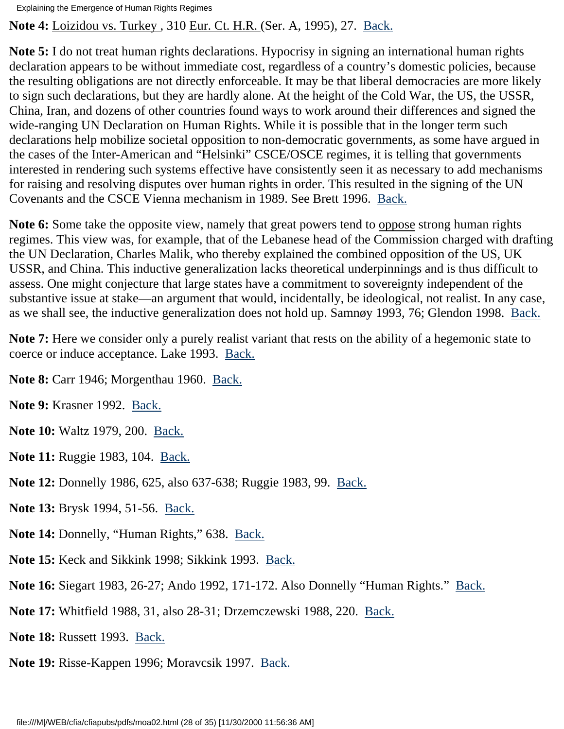<span id="page-27-0"></span>**Note 4:** Loizidou vs. Turkey , 310 Eur. Ct. H.R. (Ser. A, 1995), 27. [Back.](#page-2-1)

<span id="page-27-1"></span>**Note 5:** I do not treat human rights declarations. Hypocrisy in signing an international human rights declaration appears to be without immediate cost, regardless of a country's domestic policies, because the resulting obligations are not directly enforceable. It may be that liberal democracies are more likely to sign such declarations, but they are hardly alone. At the height of the Cold War, the US, the USSR, China, Iran, and dozens of other countries found ways to work around their differences and signed the wide-ranging UN Declaration on Human Rights. While it is possible that in the longer term such declarations help mobilize societal opposition to non-democratic governments, as some have argued in the cases of the Inter-American and "Helsinki" CSCE/OSCE regimes, it is telling that governments interested in rendering such systems effective have consistently seen it as necessary to add mechanisms for raising and resolving disputes over human rights in order. This resulted in the signing of the UN Covenants and the CSCE Vienna mechanism in 1989. See Brett 1996. [Back.](#page-3-0)

<span id="page-27-2"></span>**Note 6:** Some take the opposite view, namely that great powers tend to oppose strong human rights regimes. This view was, for example, that of the Lebanese head of the Commission charged with drafting the UN Declaration, Charles Malik, who thereby explained the combined opposition of the US, UK USSR, and China. This inductive generalization lacks theoretical underpinnings and is thus difficult to assess. One might conjecture that large states have a commitment to sovereignty independent of the substantive issue at stake—an argument that would, incidentally, be ideological, not realist. In any case, as we shall see, the inductive generalization does not hold up. Samnøy 1993, 76; Glendon 1998. [Back.](#page-4-0)

<span id="page-27-3"></span>**Note 7:** Here we consider only a purely realist variant that rests on the ability of a hegemonic state to coerce or induce acceptance. Lake 1993. [Back.](#page-4-1)

<span id="page-27-4"></span>**Note 8:** Carr 1946; Morgenthau 1960. [Back.](#page-5-0)

<span id="page-27-5"></span>**Note 9:** Krasner 1992. [Back.](#page-5-1)

<span id="page-27-6"></span>**Note 10:** Waltz 1979, 200. [Back.](#page-5-2)

<span id="page-27-7"></span>**Note 11:** Ruggie 1983, 104. [Back.](#page-5-3)

<span id="page-27-8"></span>**Note 12:** Donnelly 1986, 625, also 637-638; Ruggie 1983, 99. [Back.](#page-5-4)

<span id="page-27-9"></span>**Note 13:** Brysk 1994, 51-56. [Back.](#page-5-5)

<span id="page-27-10"></span>**Note 14:** Donnelly, "Human Rights," 638. [Back.](#page-6-0)

<span id="page-27-11"></span>**Note 15:** Keck and Sikkink 1998; Sikkink 1993. [Back.](#page-6-1)

<span id="page-27-12"></span>**Note 16:** Siegart 1983, 26-27; Ando 1992, 171-172. Also Donnelly "Human Rights." [Back.](#page-6-2)

<span id="page-27-13"></span>**Note 17:** Whitfield 1988, 31, also 28-31; Drzemczewski 1988, 220. [Back.](#page-6-3)

<span id="page-27-14"></span>**Note 18:** Russett 1993. [Back.](#page-6-4)

<span id="page-27-15"></span>**Note 19:** Risse-Kappen 1996; Moravcsik 1997. [Back.](#page-6-5)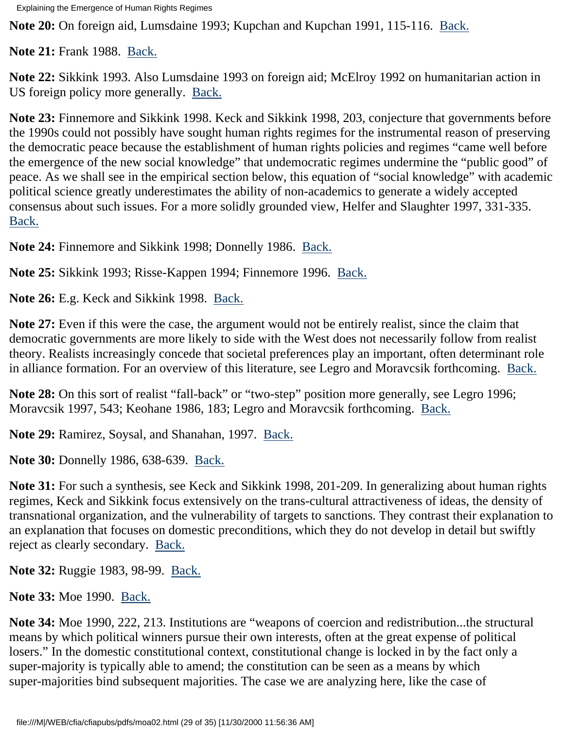<span id="page-28-0"></span>**Note 20:** On foreign aid, Lumsdaine 1993; Kupchan and Kupchan 1991, 115-116. [Back.](#page-6-6)

<span id="page-28-1"></span>**Note 21:** Frank 1988. [Back.](#page-6-7)

<span id="page-28-2"></span>**Note 22:** Sikkink 1993. Also Lumsdaine 1993 on foreign aid; McElroy 1992 on humanitarian action in US foreign policy more generally. [Back.](#page-6-8)

<span id="page-28-3"></span>**Note 23:** Finnemore and Sikkink 1998. Keck and Sikkink 1998, 203, conjecture that governments before the 1990s could not possibly have sought human rights regimes for the instrumental reason of preserving the democratic peace because the establishment of human rights policies and regimes "came well before the emergence of the new social knowledge" that undemocratic regimes undermine the "public good" of peace. As we shall see in the empirical section below, this equation of "social knowledge" with academic political science greatly underestimates the ability of non-academics to generate a widely accepted consensus about such issues. For a more solidly grounded view, Helfer and Slaughter 1997, 331-335. [Back.](#page-6-9)

<span id="page-28-4"></span>**Note 24:** Finnemore and Sikkink 1998; Donnelly 1986. [Back.](#page-6-10)

<span id="page-28-5"></span>**Note 25:** Sikkink 1993; Risse-Kappen 1994; Finnemore 1996. [Back.](#page-6-11)

<span id="page-28-6"></span>**Note 26:** E.g. Keck and Sikkink 1998. [Back.](#page-6-12)

<span id="page-28-7"></span>**Note 27:** Even if this were the case, the argument would not be entirely realist, since the claim that democratic governments are more likely to side with the West does not necessarily follow from realist theory. Realists increasingly concede that societal preferences play an important, often determinant role in alliance formation. For an overview of this literature, see Legro and Moravcsik forthcoming. [Back.](#page-7-0)

<span id="page-28-8"></span>**Note 28:** On this sort of realist "fall-back" or "two-step" position more generally, see Legro 1996; Moravcsik 1997, 543; Keohane 1986, 183; Legro and Moravcsik forthcoming. [Back.](#page-7-1)

<span id="page-28-9"></span>**Note 29:** Ramirez, Soysal, and Shanahan, 1997. [Back.](#page-7-2)

<span id="page-28-10"></span>**Note 30:** Donnelly 1986, 638-639. [Back.](#page-7-3)

<span id="page-28-11"></span>**Note 31:** For such a synthesis, see Keck and Sikkink 1998, 201-209. In generalizing about human rights regimes, Keck and Sikkink focus extensively on the trans-cultural attractiveness of ideas, the density of transnational organization, and the vulnerability of targets to sanctions. They contrast their explanation to an explanation that focuses on domestic preconditions, which they do not develop in detail but swiftly reject as clearly secondary. [Back.](#page-7-4)

<span id="page-28-12"></span>**Note 32:** Ruggie 1983, 98-99. [Back.](#page-7-5)

<span id="page-28-13"></span>**Note 33:** Moe 1990. [Back.](#page-8-0)

<span id="page-28-14"></span>**Note 34:** Moe 1990, 222, 213. Institutions are "weapons of coercion and redistribution...the structural means by which political winners pursue their own interests, often at the great expense of political losers." In the domestic constitutional context, constitutional change is locked in by the fact only a super-majority is typically able to amend; the constitution can be seen as a means by which super-majorities bind subsequent majorities. The case we are analyzing here, like the case of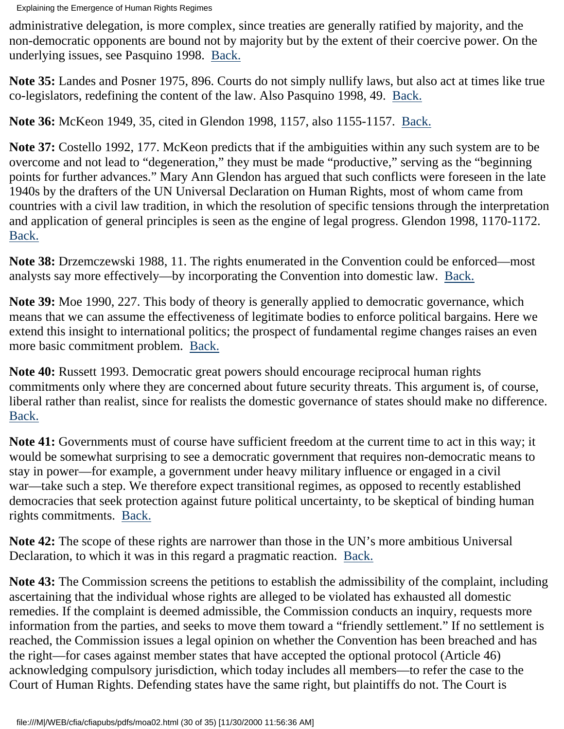administrative delegation, is more complex, since treaties are generally ratified by majority, and the non-democratic opponents are bound not by majority but by the extent of their coercive power. On the underlying issues, see Pasquino 1998. [Back.](#page-8-1)

<span id="page-29-0"></span>**Note 35:** Landes and Posner 1975, 896. Courts do not simply nullify laws, but also act at times like true co-legislators, redefining the content of the law. Also Pasquino 1998, 49. [Back.](#page-8-2)

<span id="page-29-1"></span>**Note 36:** McKeon 1949, 35, cited in Glendon 1998, 1157, also 1155-1157. [Back.](#page-9-0)

<span id="page-29-2"></span>**Note 37:** Costello 1992, 177. McKeon predicts that if the ambiguities within any such system are to be overcome and not lead to "degeneration," they must be made "productive," serving as the "beginning points for further advances." Mary Ann Glendon has argued that such conflicts were foreseen in the late 1940s by the drafters of the UN Universal Declaration on Human Rights, most of whom came from countries with a civil law tradition, in which the resolution of specific tensions through the interpretation and application of general principles is seen as the engine of legal progress. Glendon 1998, 1170-1172. [Back.](#page-9-1)

<span id="page-29-3"></span>**Note 38:** Drzemczewski 1988, 11. The rights enumerated in the Convention could be enforced—most analysts say more effectively—by incorporating the Convention into domestic law. [Back.](#page-9-2)

<span id="page-29-4"></span>**Note 39:** Moe 1990, 227. This body of theory is generally applied to democratic governance, which means that we can assume the effectiveness of legitimate bodies to enforce political bargains. Here we extend this insight to international politics; the prospect of fundamental regime changes raises an even more basic commitment problem. [Back.](#page-10-0)

<span id="page-29-5"></span>**Note 40:** Russett 1993. Democratic great powers should encourage reciprocal human rights commitments only where they are concerned about future security threats. This argument is, of course, liberal rather than realist, since for realists the domestic governance of states should make no difference. [Back.](#page-11-0)

<span id="page-29-6"></span>**Note 41:** Governments must of course have sufficient freedom at the current time to act in this way; it would be somewhat surprising to see a democratic government that requires non-democratic means to stay in power—for example, a government under heavy military influence or engaged in a civil war—take such a step. We therefore expect transitional regimes, as opposed to recently established democracies that seek protection against future political uncertainty, to be skeptical of binding human rights commitments. [Back.](#page-11-1)

<span id="page-29-7"></span>**Note 42:** The scope of these rights are narrower than those in the UN's more ambitious Universal Declaration, to which it was in this regard a pragmatic reaction. [Back.](#page-11-2)

<span id="page-29-8"></span>**Note 43:** The Commission screens the petitions to establish the admissibility of the complaint, including ascertaining that the individual whose rights are alleged to be violated has exhausted all domestic remedies. If the complaint is deemed admissible, the Commission conducts an inquiry, requests more information from the parties, and seeks to move them toward a "friendly settlement." If no settlement is reached, the Commission issues a legal opinion on whether the Convention has been breached and has the right—for cases against member states that have accepted the optional protocol (Article 46) acknowledging compulsory jurisdiction, which today includes all members—to refer the case to the Court of Human Rights. Defending states have the same right, but plaintiffs do not. The Court is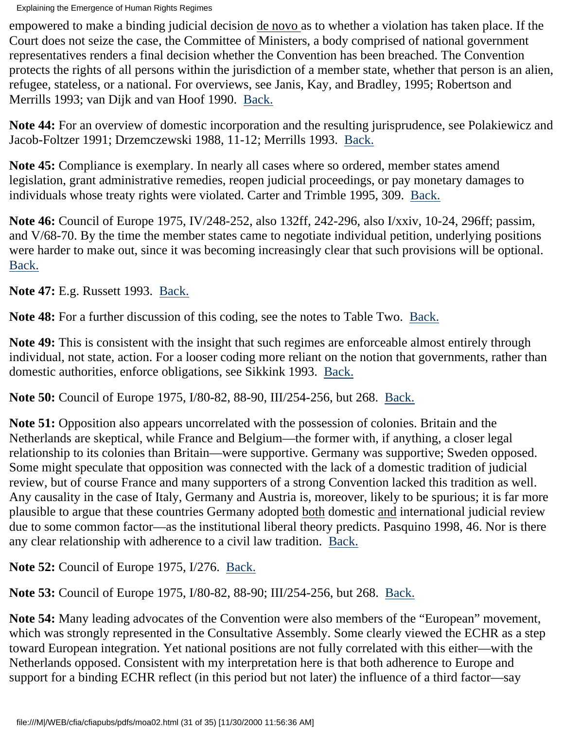empowered to make a binding judicial decision de novo as to whether a violation has taken place. If the Court does not seize the case, the Committee of Ministers, a body comprised of national government representatives renders a final decision whether the Convention has been breached. The Convention protects the rights of all persons within the jurisdiction of a member state, whether that person is an alien, refugee, stateless, or a national. For overviews, see Janis, Kay, and Bradley, 1995; Robertson and Merrills 1993; van Dijk and van Hoof 1990. [Back.](#page-11-3)

<span id="page-30-0"></span>**Note 44:** For an overview of domestic incorporation and the resulting jurisprudence, see Polakiewicz and Jacob-Foltzer 1991; Drzemczewski 1988, 11-12; Merrills 1993. [Back.](#page-11-4)

<span id="page-30-1"></span>**Note 45:** Compliance is exemplary. In nearly all cases where so ordered, member states amend legislation, grant administrative remedies, reopen judicial proceedings, or pay monetary damages to individuals whose treaty rights were violated. Carter and Trimble 1995, 309. [Back.](#page-12-0)

<span id="page-30-2"></span>**Note 46:** Council of Europe 1975, IV/248-252, also 132ff, 242-296, also I/xxiv, 10-24, 296ff; passim, and V/68-70. By the time the member states came to negotiate individual petition, underlying positions were harder to make out, since it was becoming increasingly clear that such provisions will be optional. [Back.](#page-12-1)

<span id="page-30-3"></span>**Note 47:** E.g. Russett 1993. [Back.](#page-13-0)

<span id="page-30-4"></span>**Note 48:** For a further discussion of this coding, see the notes to Table Two. [Back.](#page-13-1)

<span id="page-30-5"></span>**Note 49:** This is consistent with the insight that such regimes are enforceable almost entirely through individual, not state, action. For a looser coding more reliant on the notion that governments, rather than domestic authorities, enforce obligations, see Sikkink 1993. [Back.](#page-13-2)

<span id="page-30-6"></span>**Note 50:** Council of Europe 1975, I/80-82, 88-90, III/254-256, but 268. [Back.](#page-14-0)

<span id="page-30-7"></span>**Note 51:** Opposition also appears uncorrelated with the possession of colonies. Britain and the Netherlands are skeptical, while France and Belgium—the former with, if anything, a closer legal relationship to its colonies than Britain—were supportive. Germany was supportive; Sweden opposed. Some might speculate that opposition was connected with the lack of a domestic tradition of judicial review, but of course France and many supporters of a strong Convention lacked this tradition as well. Any causality in the case of Italy, Germany and Austria is, moreover, likely to be spurious; it is far more plausible to argue that these countries Germany adopted both domestic and international judicial review due to some common factor—as the institutional liberal theory predicts. Pasquino 1998, 46. Nor is there any clear relationship with adherence to a civil law tradition. [Back.](#page-14-1)

<span id="page-30-8"></span>**Note 52:** Council of Europe 1975, I/276. [Back.](#page-14-2)

<span id="page-30-9"></span>**Note 53:** Council of Europe 1975, I/80-82, 88-90; III/254-256, but 268. [Back.](#page-14-3)

<span id="page-30-10"></span>**Note 54:** Many leading advocates of the Convention were also members of the "European" movement, which was strongly represented in the Consultative Assembly. Some clearly viewed the ECHR as a step toward European integration. Yet national positions are not fully correlated with this either—with the Netherlands opposed. Consistent with my interpretation here is that both adherence to Europe and support for a binding ECHR reflect (in this period but not later) the influence of a third factor—say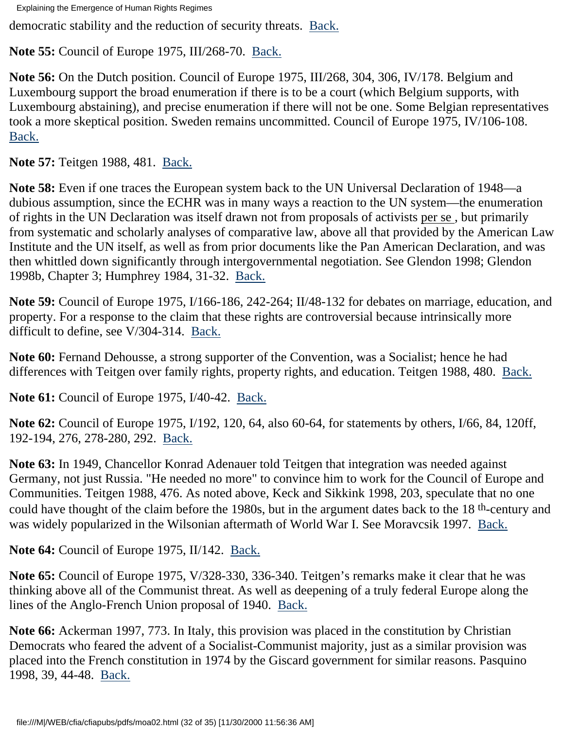democratic stability and the reduction of security threats. [Back.](#page-15-0)

<span id="page-31-0"></span>**Note 55:** Council of Europe 1975, III/268-70. [Back.](#page-15-1)

<span id="page-31-1"></span>**Note 56:** On the Dutch position. Council of Europe 1975, III/268, 304, 306, IV/178. Belgium and Luxembourg support the broad enumeration if there is to be a court (which Belgium supports, with Luxembourg abstaining), and precise enumeration if there will not be one. Some Belgian representatives took a more skeptical position. Sweden remains uncommitted. Council of Europe 1975, IV/106-108. [Back.](#page-15-2)

<span id="page-31-2"></span>**Note 57:** Teitgen 1988, 481. [Back.](#page-15-3)

<span id="page-31-3"></span>**Note 58:** Even if one traces the European system back to the UN Universal Declaration of 1948—a dubious assumption, since the ECHR was in many ways a reaction to the UN system—the enumeration of rights in the UN Declaration was itself drawn not from proposals of activists per se , but primarily from systematic and scholarly analyses of comparative law, above all that provided by the American Law Institute and the UN itself, as well as from prior documents like the Pan American Declaration, and was then whittled down significantly through intergovernmental negotiation. See Glendon 1998; Glendon 1998b, Chapter 3; Humphrey 1984, 31-32. [Back.](#page-15-4)

<span id="page-31-4"></span>**Note 59:** Council of Europe 1975, I/166-186, 242-264; II/48-132 for debates on marriage, education, and property. For a response to the claim that these rights are controversial because intrinsically more difficult to define, see V/304-314. [Back.](#page-15-5)

<span id="page-31-5"></span>**Note 60:** Fernand Dehousse, a strong supporter of the Convention, was a Socialist; hence he had differences with Teitgen over family rights, property rights, and education. Teitgen 1988, 480. [Back.](#page-15-6)

<span id="page-31-6"></span>**Note 61:** Council of Europe 1975, I/40-42. [Back.](#page-16-0)

<span id="page-31-7"></span>**Note 62:** Council of Europe 1975, I/192, 120, 64, also 60-64, for statements by others, I/66, 84, 120ff, 192-194, 276, 278-280, 292. [Back.](#page-16-1)

<span id="page-31-8"></span>**Note 63:** In 1949, Chancellor Konrad Adenauer told Teitgen that integration was needed against Germany, not just Russia. "He needed no more" to convince him to work for the Council of Europe and Communities. Teitgen 1988, 476. As noted above, Keck and Sikkink 1998, 203, speculate that no one could have thought of the claim before the 1980s, but in the argument dates back to the 18<sup>th</sup>-century and was widely popularized in the Wilsonian aftermath of World War I. See Moravcsik 1997. [Back.](#page-16-2)

<span id="page-31-9"></span>**Note 64:** Council of Europe 1975, II/142. [Back.](#page-16-3)

<span id="page-31-10"></span>**Note 65:** Council of Europe 1975, V/328-330, 336-340. Teitgen's remarks make it clear that he was thinking above all of the Communist threat. As well as deepening of a truly federal Europe along the lines of the Anglo-French Union proposal of 1940. [Back.](#page-16-4)

<span id="page-31-11"></span>**Note 66:** Ackerman 1997, 773. In Italy, this provision was placed in the constitution by Christian Democrats who feared the advent of a Socialist-Communist majority, just as a similar provision was placed into the French constitution in 1974 by the Giscard government for similar reasons. Pasquino 1998, 39, 44-48. [Back.](#page-16-5)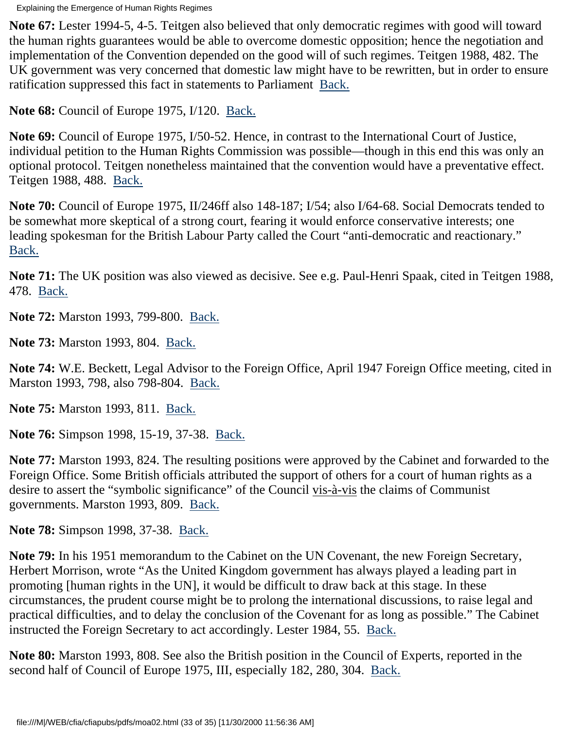<span id="page-32-0"></span>**Note 67:** Lester 1994-5, 4-5. Teitgen also believed that only democratic regimes with good will toward the human rights guarantees would be able to overcome domestic opposition; hence the negotiation and implementation of the Convention depended on the good will of such regimes. Teitgen 1988, 482. The UK government was very concerned that domestic law might have to be rewritten, but in order to ensure ratification suppressed this fact in statements to Parliament [Back.](#page-17-0)

<span id="page-32-1"></span>**Note 68:** Council of Europe 1975, I/120. [Back.](#page-17-1)

<span id="page-32-2"></span>**Note 69:** Council of Europe 1975, I/50-52. Hence, in contrast to the International Court of Justice, individual petition to the Human Rights Commission was possible—though in this end this was only an optional protocol. Teitgen nonetheless maintained that the convention would have a preventative effect. Teitgen 1988, 488. [Back.](#page-17-2)

<span id="page-32-3"></span>**Note 70:** Council of Europe 1975, II/246ff also 148-187; I/54; also I/64-68. Social Democrats tended to be somewhat more skeptical of a strong court, fearing it would enforce conservative interests; one leading spokesman for the British Labour Party called the Court "anti-democratic and reactionary." [Back.](#page-17-3)

<span id="page-32-4"></span>**Note 71:** The UK position was also viewed as decisive. See e.g. Paul-Henri Spaak, cited in Teitgen 1988, 478. [Back.](#page-17-4)

<span id="page-32-5"></span>**Note 72:** Marston 1993, 799-800. [Back.](#page-17-5)

<span id="page-32-6"></span>**Note 73:** Marston 1993, 804. [Back.](#page-17-6)

<span id="page-32-7"></span>**Note 74:** W.E. Beckett, Legal Advisor to the Foreign Office, April 1947 Foreign Office meeting, cited in Marston 1993, 798, also 798-804. [Back.](#page-17-7)

<span id="page-32-8"></span>**Note 75:** Marston 1993, 811. <u>[Back.](#page-18-0)</u>

<span id="page-32-9"></span>**Note 76:** Simpson 1998, 15-19, 37-38. [Back.](#page-18-1)

<span id="page-32-10"></span>**Note 77:** Marston 1993, 824. The resulting positions were approved by the Cabinet and forwarded to the Foreign Office. Some British officials attributed the support of others for a court of human rights as a desire to assert the "symbolic significance" of the Council vis-à-vis the claims of Communist governments. Marston 1993, 809. [Back.](#page-18-2)

<span id="page-32-11"></span>**Note 78:** Simpson 1998, 37-38. [Back.](#page-18-3)

<span id="page-32-12"></span>**Note 79:** In his 1951 memorandum to the Cabinet on the UN Covenant, the new Foreign Secretary, Herbert Morrison, wrote "As the United Kingdom government has always played a leading part in promoting [human rights in the UN], it would be difficult to draw back at this stage. In these circumstances, the prudent course might be to prolong the international discussions, to raise legal and practical difficulties, and to delay the conclusion of the Covenant for as long as possible." The Cabinet instructed the Foreign Secretary to act accordingly. Lester 1984, 55. [Back.](#page-18-4)

<span id="page-32-13"></span>**Note 80:** Marston 1993, 808. See also the British position in the Council of Experts, reported in the second half of Council of Europe 1975, III, especially 182, 280, 304. [Back.](#page-18-5)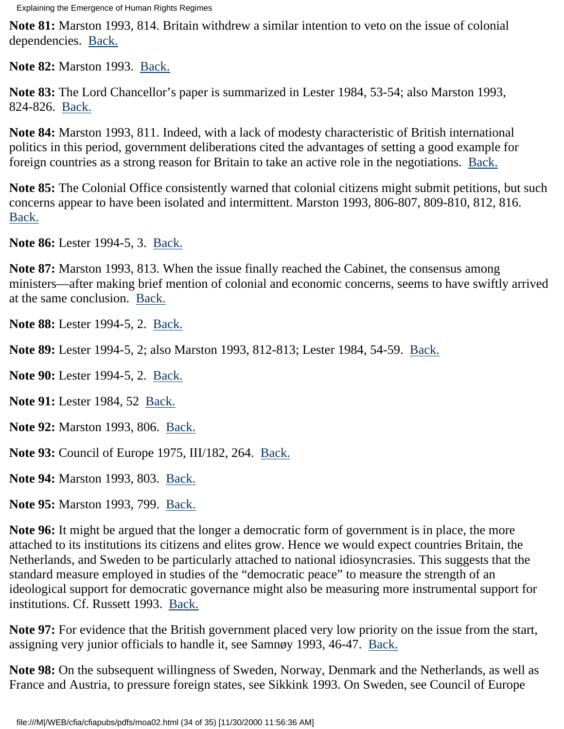<span id="page-33-0"></span>**Note 81:** Marston 1993, 814. Britain withdrew a similar intention to veto on the issue of colonial dependencies. [Back.](#page-18-6)

<span id="page-33-1"></span>**Note 82:** Marston 1993. [Back.](#page-18-7)

<span id="page-33-2"></span>**Note 83:** The Lord Chancellor's paper is summarized in Lester 1984, 53-54; also Marston 1993, 824-826. [Back.](#page-18-8)

<span id="page-33-3"></span>**Note 84:** Marston 1993, 811. Indeed, with a lack of modesty characteristic of British international politics in this period, government deliberations cited the advantages of setting a good example for foreign countries as a strong reason for Britain to take an active role in the negotiations. [Back.](#page-18-9)

<span id="page-33-4"></span>**Note 85:** The Colonial Office consistently warned that colonial citizens might submit petitions, but such concerns appear to have been isolated and intermittent. Marston 1993, 806-807, 809-810, 812, 816. [Back.](#page-18-10)

<span id="page-33-5"></span>**Note 86:** Lester 1994-5, 3. [Back.](#page-19-0)

<span id="page-33-6"></span>**Note 87:** Marston 1993, 813. When the issue finally reached the Cabinet, the consensus among ministers—after making brief mention of colonial and economic concerns, seems to have swiftly arrived at the same conclusion. [Back.](#page-19-1)

<span id="page-33-7"></span>**Note 88:** Lester 1994-5, 2. [Back.](#page-19-2)

<span id="page-33-8"></span>**Note 89:** Lester 1994-5, 2; also Marston 1993, 812-813; Lester 1984, 54-59. [Back.](#page-19-3)

<span id="page-33-9"></span>**Note 90:** Lester 1994-5, 2. [Back.](#page-19-4)

<span id="page-33-10"></span>**Note 91:** Lester 1984, 52 [Back.](#page-19-5)

<span id="page-33-11"></span>**Note 92:** Marston 1993, 806. [Back.](#page-19-6)

<span id="page-33-12"></span>**Note 93:** Council of Europe 1975, III/182, 264. [Back.](#page-19-7)

<span id="page-33-13"></span>**Note 94:** Marston 1993, 803. [Back.](#page-20-0)

<span id="page-33-14"></span>**Note 95:** Marston 1993, 799. [Back.](#page-20-1)

<span id="page-33-15"></span>**Note 96:** It might be argued that the longer a democratic form of government is in place, the more attached to its institutions its citizens and elites grow. Hence we would expect countries Britain, the Netherlands, and Sweden to be particularly attached to national idiosyncrasies. This suggests that the standard measure employed in studies of the "democratic peace" to measure the strength of an ideological support for democratic governance might also be measuring more instrumental support for institutions. Cf. Russett 1993. [Back.](#page-20-2)

<span id="page-33-16"></span>**Note 97:** For evidence that the British government placed very low priority on the issue from the start, assigning very junior officials to handle it, see Samnøy 1993, 46-47. [Back.](#page-20-3)

<span id="page-33-17"></span>**Note 98:** On the subsequent willingness of Sweden, Norway, Denmark and the Netherlands, as well as France and Austria, to pressure foreign states, see Sikkink 1993. On Sweden, see Council of Europe